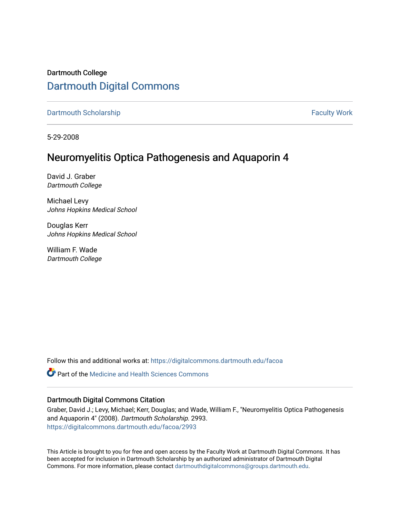# Dartmouth College [Dartmouth Digital Commons](https://digitalcommons.dartmouth.edu/)

[Dartmouth Scholarship](https://digitalcommons.dartmouth.edu/facoa) Faculty Work

5-29-2008

## Neuromyelitis Optica Pathogenesis and Aquaporin 4

David J. Graber Dartmouth College

Michael Levy Johns Hopkins Medical School

Douglas Kerr Johns Hopkins Medical School

William F. Wade Dartmouth College

Follow this and additional works at: [https://digitalcommons.dartmouth.edu/facoa](https://digitalcommons.dartmouth.edu/facoa?utm_source=digitalcommons.dartmouth.edu%2Ffacoa%2F2993&utm_medium=PDF&utm_campaign=PDFCoverPages)

 $\bullet$  Part of the Medicine and Health Sciences Commons

## Dartmouth Digital Commons Citation

Graber, David J.; Levy, Michael; Kerr, Douglas; and Wade, William F., "Neuromyelitis Optica Pathogenesis and Aquaporin 4" (2008). Dartmouth Scholarship. 2993. [https://digitalcommons.dartmouth.edu/facoa/2993](https://digitalcommons.dartmouth.edu/facoa/2993?utm_source=digitalcommons.dartmouth.edu%2Ffacoa%2F2993&utm_medium=PDF&utm_campaign=PDFCoverPages) 

This Article is brought to you for free and open access by the Faculty Work at Dartmouth Digital Commons. It has been accepted for inclusion in Dartmouth Scholarship by an authorized administrator of Dartmouth Digital Commons. For more information, please contact [dartmouthdigitalcommons@groups.dartmouth.edu](mailto:dartmouthdigitalcommons@groups.dartmouth.edu).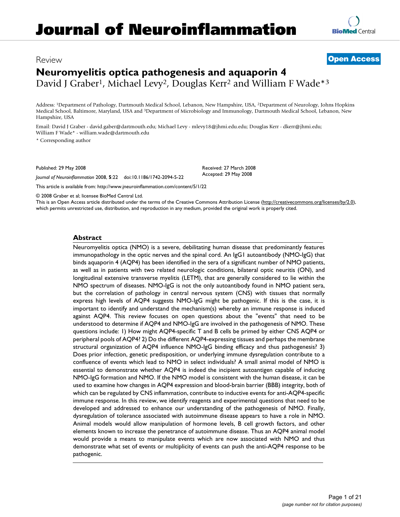## Review **[Open Access](http://www.biomedcentral.com/info/about/charter/)**

# **Neuromyelitis optica pathogenesis and aquaporin 4** David J Graber<sup>1</sup>, Michael Levy<sup>2</sup>, Douglas Kerr<sup>2</sup> and William F Wade<sup>\*3</sup>

Address: 1Department of Pathology, Dartmouth Medical School, Lebanon, New Hampshire, USA, 2Department of Neurology, Johns Hopkins Medical School, Baltimore, Maryland, USA and 3Department of Microbiology and Immunology, Dartmouth Medical School, Lebanon, New Hampshire, USA

Email: David J Graber - david.gaber@dartmouth.edu; Michael Levy - mlevy18@jhmi.edu.edu; Douglas Kerr - dkerr@jhmi.edu; William F Wade\* - william.wade@dartmouth.edu

\* Corresponding author

Published: 29 May 2008

*Journal of Neuroinflammation* 2008, **5**:22 doi:10.1186/1742-2094-5-22

[This article is available from: http://www.jneuroinflammation.com/content/5/1/22](http://www.jneuroinflammation.com/content/5/1/22)

© 2008 Graber et al; licensee BioMed Central Ltd.

This is an Open Access article distributed under the terms of the Creative Commons Attribution License [\(http://creativecommons.org/licenses/by/2.0\)](http://creativecommons.org/licenses/by/2.0), which permits unrestricted use, distribution, and reproduction in any medium, provided the original work is properly cited.

Received: 27 March 2008 Accepted: 29 May 2008

## **Abstract**

Neuromyelitis optica (NMO) is a severe, debilitating human disease that predominantly features immunopathology in the optic nerves and the spinal cord. An IgG1 autoantibody (NMO-IgG) that binds aquaporin 4 (AQP4) has been identified in the sera of a significant number of NMO patients, as well as in patients with two related neurologic conditions, bilateral optic neuritis (ON), and longitudinal extensive transverse myelitis (LETM), that are generally considered to lie within the NMO spectrum of diseases. NMO-IgG is not the only autoantibody found in NMO patient sera, but the correlation of pathology in central nervous system (CNS) with tissues that normally express high levels of AQP4 suggests NMO-IgG might be pathogenic. If this is the case, it is important to identify and understand the mechanism(s) whereby an immune response is induced against AQP4. This review focuses on open questions about the "events" that need to be understood to determine if AQP4 and NMO-IgG are involved in the pathogenesis of NMO. These questions include: 1) How might AQP4-specific T and B cells be primed by either CNS AQP4 or peripheral pools of AQP4? 2) Do the different AQP4-expressing tissues and perhaps the membrane structural organization of AQP4 influence NMO-IgG binding efficacy and thus pathogenesis? 3) Does prior infection, genetic predisposition, or underlying immune dysregulation contribute to a confluence of events which lead to NMO in select individuals? A small animal model of NMO is essential to demonstrate whether AQP4 is indeed the incipient autoantigen capable of inducing NMO-IgG formation and NMO. If the NMO model is consistent with the human disease, it can be used to examine how changes in AQP4 expression and blood-brain barrier (BBB) integrity, both of which can be regulated by CNS inflammation, contribute to inductive events for anti-AQP4-specific immune response. In this review, we identify reagents and experimental questions that need to be developed and addressed to enhance our understanding of the pathogenesis of NMO. Finally, dysregulation of tolerance associated with autoimmune disease appears to have a role in NMO. Animal models would allow manipulation of hormone levels, B cell growth factors, and other elements known to increase the penetrance of autoimmune disease. Thus an AQP4 animal model would provide a means to manipulate events which are now associated with NMO and thus demonstrate what set of events or multiplicity of events can push the anti-AQP4 response to be pathogenic.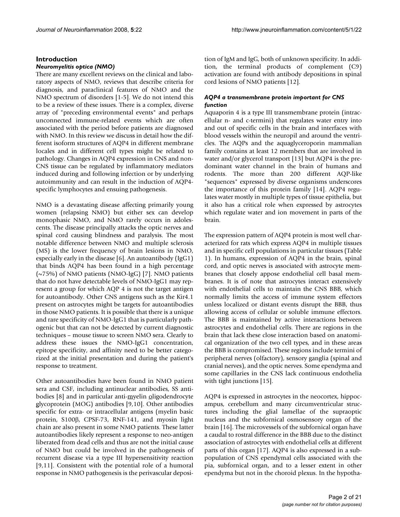#### **Introduction**

#### *Neuromyelitis optica (NMO)*

There are many excellent reviews on the clinical and laboratory aspects of NMO, reviews that describe criteria for diagnosis, and paraclinical features of NMO and the NMO spectrum of disorders [1-5]. We do not intend this to be a review of these issues. There is a complex, diverse array of "preceding environmental events" and perhaps unconnected immune-related events which are often associated with the period before patients are diagnosed with NMO. In this review we discuss in detail how the different isoform structures of AQP4 in different membrane locales and in different cell types might be related to pathology. Changes in AQP4 expression in CNS and non-CNS tissue can be regulated by inflammatory mediators induced during and following infection or by underlying autoimmunity and can result in the induction of AQP4 specific lymphocytes and ensuing pathogenesis.

NMO is a devastating disease affecting primarily young women (relapsing NMO) but either sex can develop monophasic NMO, and NMO rarely occurs in adolescents. The disease principally attacks the optic nerves and spinal cord causing blindness and paralysis. The most notable difference between NMO and multiple sclerosis (MS) is the lower frequency of brain lesions in NMO, especially early in the disease [6]. An autoantibody (IgG1) that binds AQP4 has been found in a high percentage (~75%) of NMO patients (NMO-IgG) [7]. NMO patients that do not have detectable levels of NMO-IgG1 may represent a group for which AQP 4 is not the target antigen for autoantibody. Other CNS antigens such as the Kir4.1 present on astrocytes might be targets for autoantibodies in those NMO patients. It is possible that there is a unique and rare specificity of NMO-IgG1 that is particularly pathogenic but that can not be detected by current diagnostic techniques – mouse tissue to screen NMO sera. Clearly to address these issues the NMO-IgG1 concentration, epitope specificity, and affinity need to be better categorized at the initial presentation and during the patient's response to treatment.

Other autoantibodies have been found in NMO patient sera and CSF, including antinuclear antibodies, SS antibodies [8] and in particular anti-myelin oligodendrocyte glycoprotein (MOG) antibodies [9,10]. Other antibodies specific for extra- or intracellular antigens (myelin basic protein, S100β, CPSF-73, RNF-141, and myosin light chain are also present in some NMO patients. These latter autoantibodies likely represent a response to neo-antigen liberated from dead cells and thus are not the initial cause of NMO but could be involved in the pathogenesis of recurrent disease via a type III hypersensitivity reaction [9,11]. Consistent with the potential role of a humoral response in NMO pathogenesis is the perivascular deposition of IgM and IgG, both of unknown specificity. In addition, the terminal products of complement (C9) activation are found with antibody depositions in spinal cord lesions of NMO patients [12].

#### *AQP4 a transmembrane protein important for CNS function*

Aquaporin 4 is a type III transmembrane protein (intracellular n- and c-termini) that regulates water entry into and out of specific cells in the brain and interfaces with blood vessels within the neuropil and around the ventricles. The AQPs and the aquaglyceroporin mammalian family contains at least 12 members that are involved in water and/or glycerol transport [13] but AQP4 is the predominant water channel in the brain of humans and rodents. The more than 200 different AQP-like "sequences" expressed by diverse organisms underscores the importance of this protein family [14]. AQP4 regulates water mostly in multiple types of tissue epithelia, but it also has a critical role when expressed by astrocytes which regulate water and ion movement in parts of the brain.

The expression pattern of AQP4 protein is most well characterized for rats which express AQP4 in multiple tissues and in specific cell populations in particular tissues (Table 1). In humans, expression of AQP4 in the brain, spinal cord, and optic nerves is associated with astrocyte membranes that closely appose endothelial cell basal membranes. It is of note that astrocytes interact extensively with endothelial cells to maintain the CNS BBB, which normally limits the access of immune system effectors unless localized or distant events disrupt the BBB, thus allowing access of cellular or soluble immune effectors. The BBB is maintained by active interactions between astrocytes and endothelial cells. There are regions in the brain that lack these close interaction based on anatomical organization of the two cell types, and in these areas the BBB is compromised. These regions include termini of peripheral nerves (olfactory), sensory ganglia (spinal and cranial nerves), and the optic nerves. Some ependyma and some capillaries in the CNS lack continuous endothelia with tight junctions [15].

AQP4 is expressed in astrocytes in the neocortex, hippocampus, cerebellum and many circumventricular structures including the glial lamellae of the supraoptic nucleus and the subfornical osmosensory organ of the brain [16]. The microvessels of the subfornical organ have a caudal to rostral difference in the BBB due to the distinct association of astrocytes with endothelial cells at different parts of this organ [17]. AQP4 is also expressed in a subpopulation of CNS ependymal cells associated with the pia, subfornical organ, and to a lesser extent in other ependyma but not in the choroid plexus. In the hypotha-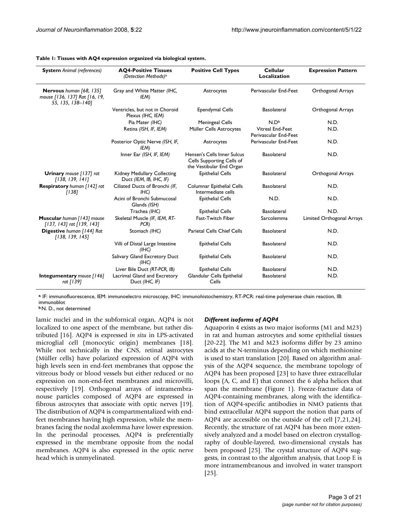| <b>System</b> Animal (references)                                             | <b>AQ4-Positive Tissues</b><br>(Detection Methods) <sup>a</sup> | <b>Positive Cell Types</b>                                                           | <b>Cellular</b><br>Localization           | <b>Expression Pattern</b> |
|-------------------------------------------------------------------------------|-----------------------------------------------------------------|--------------------------------------------------------------------------------------|-------------------------------------------|---------------------------|
| Nervous human [68, 135]<br>mouse [136, 137] Rat [16, 19,<br>55, 135, 138-140] | Gray and White Matter (IHC,<br>IEM)                             | Astrocytes                                                                           | Perivascular End-Feet                     | <b>Orthogonal Arrays</b>  |
|                                                                               | Ventricles, but not in Choroid<br>Plexus (IHC, IEM)             | <b>Ependymal Cells</b>                                                               | <b>Basolateral</b>                        | Orthogonal Arrays         |
|                                                                               | Pia Mater (IHC)                                                 | <b>Meningeal Cells</b>                                                               | N.D <sub>b</sub>                          | N.D.                      |
|                                                                               | Retina (ISH, IF, IEM)                                           | Müller Cells Astrocytes                                                              | Vitreal End-Feet<br>Perivascular End-Feet | N.D.                      |
|                                                                               | Posterior Optic Nerve (ISH, IF,<br>IEM)                         | Astrocytes                                                                           | Perivascular End-Feet                     | N.D.                      |
|                                                                               | Inner Ear (ISH, IF, IEM)                                        | Hensen's Cells Inner Sulcus<br>Cells Supporting Cells of<br>the Vestibular End Organ | <b>Basolateral</b>                        | N.D.                      |
| Urinary mouse [137] rat<br>[138, 139, 141]                                    | Kidney Medullary Collecting<br>Duct (IEM, IB, IHC, IF)          | <b>Epithelial Cells</b>                                                              | <b>Basolateral</b>                        | Orthogonal Arrays         |
| Respiratory human [142] rat<br>[138]                                          | Ciliated Ducts of Bronchi (IF,<br>IHC)                          | Columnar Epithelial Cells<br>Intermediate cells                                      | Basolateral                               | N.D.                      |
|                                                                               | Acini of Bronchi Submucosal<br>Glands (ISH)                     | <b>Epithelial Cells</b>                                                              | N.D.                                      | N.D.                      |
|                                                                               | Trachea (IHC)                                                   | <b>Epithelial Cells</b>                                                              | <b>Basolateral</b>                        | N.D.                      |
| Muscular human [143] mouse<br>[137, 143] rat [139, 143]                       | Skeletal Muscle (IF, IEM, RT-<br>PCR)                           | Fast-Twitch Fiber                                                                    | Sarcolemma                                | Limited Orthogonal Arrays |
| Digestive human [144] Rat<br>[138, 139, 145]                                  | Stomach (IHC)                                                   | <b>Parietal Cells Chief Cells</b>                                                    | Basolateral                               | N.D.                      |
|                                                                               | Villi of Distal Large Intestine<br>(IIIC)                       | <b>Epithelial Cells</b>                                                              | <b>Basolateral</b>                        | N.D.                      |
|                                                                               | Salivary Gland Excretory Duct<br>(IIIC)                         | <b>Epithelial Cells</b>                                                              | <b>Basolateral</b>                        | N.D.                      |
|                                                                               | Liver Bile Duct (RT-PCR, IB)                                    | <b>Epithelial Cells</b>                                                              | <b>Basolateral</b>                        | N.D.                      |
| Integumentary mouse [146]<br>rat [139]                                        | Lacrimal Gland and Excretory<br>Duct (IHC, IF)                  | Glandular Cells Epithelial<br>Cells                                                  | Basolateral                               | N.D.                      |

#### **Table 1: Tissues with AQ4 expression organized via biological system.**

**<sup>a</sup>**. IF: immunofluorescence, IEM: immunoelectro microscopy, IHC: immunohistochemistry, RT-PCR: real-time polymerase chain reaction, IB: immunoblot

**b**. N. D., not determined

lamic nuclei and in the subfornical organ, AQP4 is not localized to one aspect of the membrane, but rather distributed [16]. AQP4 is expressed *in situ* in LPS-activated microglial cell (monocytic origin) membranes [18]. While not technically in the CNS, retinal astrocytes (Müller cells) have polarized expression of AQP4 with high levels seen in end-feet membranes that oppose the vitreous body or blood vessels but either reduced or no expression on non-end-feet membranes and microvilli, respectively [19]. Orthogonal arrays of intramembranouse particles composed of AQP4 are expressed in fibrous astrocytes that associate with optic nerves [19]. The distribution of AQP4 is compartmentalized with endfeet membranes having high expression, while the membranes facing the nodal axolemma have lower expression. In the perinodal processes, AQP4 is preferentially expressed in the membrane opposite from the nodal membranes. AQP4 is also expressed in the optic nerve head which is unmyelinated.

#### *Different isoforms of AQP4*

Aquaporin 4 exists as two major isoforms (M1 and M23) in rat and human astrocytes and some epithelial tissues [20-22]. The M1 and M23 isoforms differ by 23 amino acids at the N-terminus depending on which methionine is used to start translation [20]. Based on algorithm analysis of the AQP4 sequence, the membrane topology of AQP4 has been proposed [23] to have three extracellular loops (A, C, and E) that connect the 6 alpha helices that span the membrane (Figure 1). Freeze-fracture data of AQP4-containing membranes, along with the identification of AQP4-specific antibodies in NMO patients that bind extracellular AQP4 support the notion that parts of AQP4 are accessible on the outside of the cell [7,21,24]. Recently, the structure of rat AQP4 has been more extensively analyzed and a model based on electron crystallography of double-layered, two-dimensional crystals has been proposed [25]. The crystal structure of AQP4 suggests, in contrast to the algorithm analysis, that Loop E is more intramembranous and involved in water transport [25].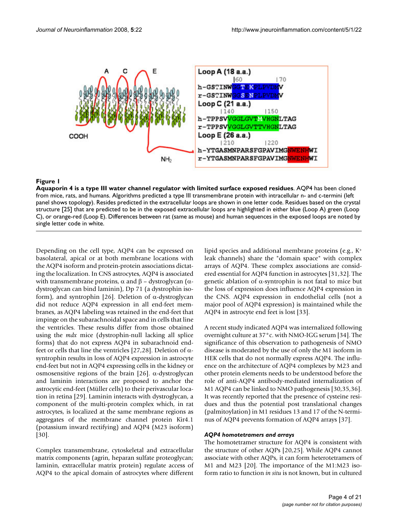

## Aquaporin 4 is a type III water channel regu **Figure 1** lator with limited surface exposed residues

**Aquaporin 4 is a type III water channel regulator with limited surface exposed residues**. AQP4 has been cloned from mice, rats, and humans. Algorithms predicted a type III transmembrane protein with intracellular n- and c-termini (left panel shows topology). Resides predicted in the extracellular loops are shown in one letter code. Residues based on the crystal structure [25] that are predicted to be in the exposed extracellular loops are highlighted in either blue (Loop A) green (Loop C), or orange-red (Loop E). Differences between rat (same as mouse) and human sequences in the exposed loops are noted by single letter code in white.

Depending on the cell type, AQP4 can be expressed on basolateral, apical or at both membrane locations with the AQP4 isoform and protein-protein associations dictating the localization. In CNS astrocytes, AQP4 is associated with transmembrane proteins,  $\alpha$  and  $\beta$  – dystroglycan (αdystroglycan can bind laminin), Dp 71 (a dystrophin isoform), and syntrophin [26]. Deletion of α-dystroglycan did not reduce AQP4 expression in all end-feet membranes, as AQP4 labeling was retained in the end-feet that impinge on the subarachnoidal space and in cells that line the ventricles. These results differ from those obtained using the *mdx* mice (dystrophin-null lacking all splice forms) that do not express AQP4 in subarachnoid endfeet or cells that line the ventricles [27,28]. Deletion of αsyntrophin results in loss of AQP4 expression in astrocyte end-feet but not in AQP4 expressing cells in the kidney or osmosensitive regions of the brain [26]. α-dystroglycan and laminin interactions are proposed to anchor the astrocytic end-feet (Müller cells) to their perivascular location in retina [29]. Laminin interacts with dystroglycan, a component of the multi-protein complex which, in rat astrocytes, is localized at the same membrane regions as aggregates of the membrane channel protein Kir4.1 (potassium inward rectifying) and AQP4 (M23 isoform) [30].

Complex transmembrane, cytoskeletal and extracellular matrix components (agrin, heparan sulfate proteoglycan; laminin, extracellular matrix protein) regulate access of AQP4 to the apical domain of astrocytes where different lipid species and additional membrane proteins (e.g., K+ leak channels) share the "domain space" with complex arrays of AQP4. These complex associations are considered essential for AQP4 function in astrocytes [31,32]. The genetic ablation of α-syntrophin is not fatal to mice but the loss of expression does influence AQP4 expression in the CNS. AQP4 expression in endothelial cells (not a major pool of AQP4 expression) is maintained while the AQP4 in astrocyte end feet is lost [33].

A recent study indicated AQP4 was internalized following overnight culture at 37°c. with NMO-IGG serum [34]. The significance of this observation to pathogenesis of NMO disease is moderated by the use of only the M1 isoform in HEK cells that do not normally express AQP4. The influence on the architecture of AQP4 complexes by M23 and other protein elements needs to be understood before the role of anti-AQP4 antibody-mediated internalization of M1 AQP4 can be linked to NMO pathogenesis [30,35,36]. It was recently reported that the presence of cysteine residues and thus the potential post translational changes (palmitoylation) in M1 residues 13 and 17 of the N-terminus of AQP4 prevents formation of AQP4 arrays [37].

## *AQP4 homotetramers and arrays*

The homotetramer structure for AQP4 is consistent with the structure of other AQPs [20,25]. While AQP4 cannot associate with other AQPs, it can form heterotetramers of M1 and M23 [20]. The importance of the M1:M23 isoform ratio to function *in situ* is not known, but in cultured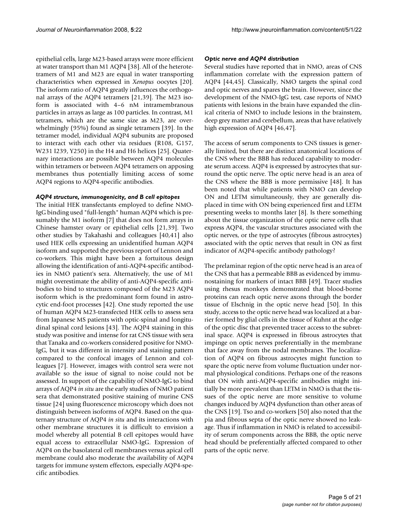epithelial cells, large M23-based arrays were more efficient at water transport than M1 AQP4 [38]. All of the heterotetramers of M1 and M23 are equal in water transporting characteristics when expressed in *Xenopus* oocytes [20]. The isoform ratio of AQP4 greatly influences the orthogonal arrays of the AQP4 tetramers [21,39]. The M23 isoform is associated with 4–6 nM intramembranous particles in arrays as large as 100 particles. In contrast, M1 tetramers, which are the same size as M23, are overwhelmingly (95%) found as single tetramers [39]. In the tetramer model, individual AQP4 subunits are proposed to interact with each other via residues (R108, G157, W231 I239, Y250) in the H4 and H6 helices [25]. Quaternary interactions are possible between AQP4 molecules within tetramers or between AQP4 tetramers on apposing membranes thus potentially limiting access of some AQP4 regions to AQP4-specific antibodies.

## *AQP4 structure, immunogenicity, and B cell epitopes*

The initial HEK transfectants employed to define NMO-IgG binding used "full-length" human AQP4 which is presumably the M1 isoform [7] that does not form arrays in Chinese hamster ovary or epithelial cells [21,39]. Two other studies by Takahashi and colleagues [40,41] also used HEK cells expressing an unidentified human AQP4 isoform and supported the previous report of Lennon and co-workers. This might have been a fortuitous design allowing the identification of anti-AQP4-specific antibodies in NMO patient's sera. Alternatively, the use of M1 might overestimate the ability of anti-AQP4-specific antibodies to bind to structures composed of the M23 AQP4 isoform which is the predominant form found in astrocytic end-foot processes [42]. One study reported the use of human AQP4 M23-transfected HEK cells to assess sera from Japanese MS patients with optic-spinal and longitudinal spinal cord lesions [43]. The AQP4 staining in this study was positive and intense for rat CNS tissue with sera that Tanaka and co-workers considered positive for NMO-IgG, but it was different in intensity and staining pattern compared to the confocal images of Lennon and colleagues [7]. However, images with control sera were not available so the issue of signal to noise could not be assessed. In support of the capability of NMO-IgG to bind arrays of AQP4 *in situ* are the early studies of NMO patient sera that demonstrated positive staining of murine CNS tissue [24] using fluorescence microscopy which does not distinguish between isoforms of AQP4. Based on the quaternary structure of AQP4 *in situ* and its interactions with other membrane structures it is difficult to envision a model whereby all potential B cell epitopes would have equal access to extracellular NMO-IgG. Expression of AQP4 on the basolateral cell membranes versus apical cell membrane could also moderate the availability of AQP4 targets for immune system effectors, especially AQP4-specific antibodies.

## *Optic nerve and AQP4 distribution*

Several studies have reported that in NMO, areas of CNS inflammation correlate with the expression pattern of AQP4 [44,45]. Classically, NMO targets the spinal cord and optic nerves and spares the brain. However, since the development of the NMO-IgG test, case reports of NMO patients with lesions in the brain have expanded the clinical criteria of NMO to include lesions in the brainstem, deep grey matter and cerebellum, areas that have relatively high expression of AQP4 [46,47].

The access of serum components to CNS tissues is generally limited, but there are distinct anatomical locations of the CNS where the BBB has reduced capability to moderate serum access. AQP4 is expressed by astrocytes that surround the optic nerve. The optic nerve head is an area of the CNS where the BBB is more permissive [48]. It has been noted that while patients with NMO can develop ON and LETM simultaneously, they are generally displaced in time with ON being experienced first and LETM presenting weeks to months later [8]. Is there something about the tissue organization of the optic nerve cells that express AQP4, the vascular structures associated with the optic nerves, or the type of astrocytes (fibrous astrocytes) associated with the optic nerves that result in ON as first indicator of AQP4-specific antibody pathology?

The prelaminar region of the optic nerve head is an area of the CNS that has a permeable BBB as evidenced by immunostaining for markers of intact BBB [49]. Tracer studies using rhesus monkeys demonstrated that blood-borne proteins can reach optic nerve axons through the border tissue of Elschnig in the optic nerve head [50]. In this study, access to the optic nerve head was localized at a barrier formed by glial cells in the tissue of Kuhnt at the edge of the optic disc that prevented tracer access to the subretinal space. AQP4 is expressed in fibrous astrocytes that impinge on optic nerves preferentially in the membrane that face away from the nodal membranes. The localization of AQP4 on fibrous astrocytes might function to spare the optic nerve from volume fluctuation under normal physiological conditions. Perhaps one of the reasons that ON with anti-AQP4-specific antibodies might initially be more prevalent than LETM in NMO is that the tissues of the optic nerve are more sensitive to volume changes induced by AQP4 dysfunction than other areas of the CNS [19]. Tso and co-workers [50] also noted that the pia and fibrous septa of the optic nerve showed no leakage. Thus if inflammation in NMO is related to accessibility of serum components across the BBB, the optic nerve head should be preferentially affected compared to other parts of the optic nerve.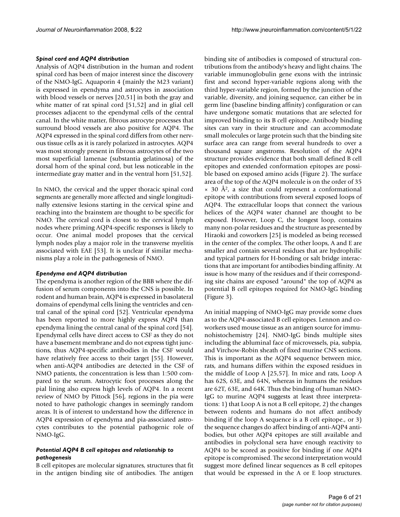#### *Spinal cord and AQP4 distribution*

Analysis of AQP4 distribution in the human and rodent spinal cord has been of major interest since the discovery of the NMO-IgG. Aquaporin 4 (mainly the M23 variant) is expressed in ependyma and astrocytes in association with blood vessels or nerves [20,51] in both the gray and white matter of rat spinal cord [51,52] and in glial cell processes adjacent to the ependymal cells of the central canal. In the white matter, fibrous astrocyte processes that surround blood vessels are also positive for AQP4. The AQP4 expressed in the spinal cord differs from other nervous tissue cells as it is rarely polarized in astrocytes. AQP4 was most strongly present in fibrous astrocytes of the two most superficial lamenae (substantia gelatinosa) of the dorsal horn of the spinal cord, but less noticeable in the intermediate gray matter and in the ventral horn [51,52].

In NMO, the cervical and the upper thoracic spinal cord segments are generally more affected and single longitudinally extensive lesions starting in the cervical spine and reaching into the brainstem are thought to be specific for NMO. The cervical cord is closest to the cervical lymph nodes where priming AQP4-specific responses is likely to occur. One animal model proposes that the cervical lymph nodes play a major role in the transverse myelitis associated with EAE [53]. It is unclear if similar mechanisms play a role in the pathogenesis of NMO.

#### *Ependyma and AQP4 distribution*

The ependyma is another region of the BBB where the diffusion of serum components into the CNS is possible. In rodent and human brain, AQP4 is expressed in basolateral domains of ependymal cells lining the ventricles and central canal of the spinal cord [52]. Ventricular ependyma has been reported to more highly express AQP4 than ependyma lining the central canal of the spinal cord [54]. Ependymal cells have direct access to CSF as they do not have a basement membrane and do not express tight junctions, thus AQP4-specific antibodies in the CSF would have relatively free access to their target [55]. However, when anti-AQP4 antibodies are detected in the CSF of NMO patients, the concentration is less than 1:500 compared to the serum. Astrocytic foot processes along the pial lining also express high levels of AQP4. In a recent review of NMO by Pittock [56], regions in the pia were noted to have pathologic changes in seemingly random areas. It is of interest to understand how the difference in AQP4 expression of ependyma and pia-associated astrocytes contributes to the potential pathogenic role of NMO-IgG.

#### *Potential AQP4 B cell epitopes and relationship to pathogenesis*

B cell epitopes are molecular signatures, structures that fit in the antigen binding site of antibodies. The antigen

binding site of antibodies is composed of structural contributions from the antibody's heavy and light chains. The variable immunoglobulin gene exons with the intrinsic first and second hyper-variable regions along with the third hyper-variable region, formed by the junction of the variable, diversity, and joining sequence, can either be in germ line (baseline binding affinity) configuration or can have undergone somatic mutations that are selected for improved binding to its B cell epitope. Antibody binding sites can vary in their structure and can accommodate small molecules or large protein such that the binding site surface area can range from several hundreds to over a thousand square angstroms. Resolution of the AQP4 structure provides evidence that both small defined B cell epitopes and extended conformation epitopes are possible based on exposed amino acids (Figure 2). The surface area of the top of the AQP4 molecule is on the order of 35  $\times$  30 Å<sup>2</sup>, a size that could represent a conformational epitope with contributions from several exposed loops of AQP4. The extracellular loops that connect the various helices of the AQP4 water channel are thought to be exposed. However, Loop C, the longest loop, contains many non-polar residues and the structure as presented by Hiraoki and coworkers [25] is modeled as being recessed in the center of the complex. The other loops, A and E are smaller and contain several residues that are hydrophilic and typical partners for H-bonding or salt bridge interactions that are important for antibodies binding affinity. At issue is how many of the residues and if their corresponding site chains are exposed "around" the top of AQP4 as potential B cell epitopes required for NMO-IgG binding (Figure 3).

An initial mapping of NMO-IgG may provide some clues as to the AQP4-associated B cell epitopes. Lennon and coworkers used mouse tissue as an antigen source for immunohistochemistry [24]. NMO-IgG binds multiple sites including the abluminal face of microvessels, pia, subpia, and Virchow-Robin sheath of fixed murine CNS sections. This is important as the AQP4 sequence between mice, rats, and humans differs within the exposed residues in the middle of Loop A [25,57]. In mice and rats, Loop A has 62S, 63E, and 64N, whereas in humans the residues are 62T, 63E, and 64K. Thus the binding of human NMO-IgG to murine AQP4 suggests at least three interpretations: 1) that Loop A is not a B cell epitope, 2) the changes between rodents and humans do not affect antibody binding if the loop A sequence is a B cell epitope., or 3) the sequence changes do affect binding of anti-AQP4 antibodies, but other AQP4 epitopes are still available and antibodies in polyclonal sera have enough reactivity to AQP4 to be scored as positive for binding if one AQP4 epitope is compromised. The second interpretation would suggest more defined linear sequences as B cell epitopes that would be expressed in the A or E loop structures.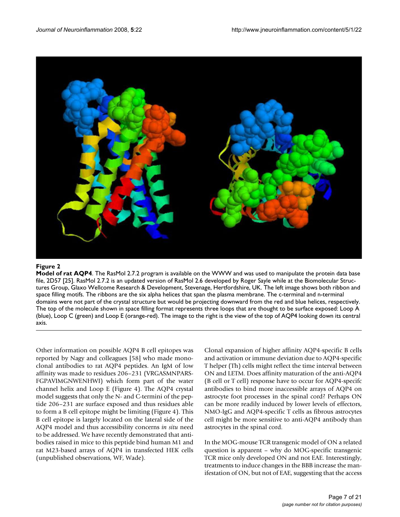

#### **Figure 2**

**Model of rat AQP4**. The RasMol 2.7.2 program is available on the WWW and was used to manipulate the protein data base file, 2D57 [25]. RasMol 2.7.2 is an updated version of RasMol 2.6 developed by Roger Sayle while at the Biomolecular Structures Group, Glaxo Wellcome Research & Development, Stevenage, Hertfordshire, UK. The left image shows both ribbon and space filling motifs. The ribbons are the six alpha helices that span the plasma membrane. The c-terminal and n-terminal domains were not part of the crystal structure but would be projecting downward from the red and blue helices, respectively. The top of the molecule shown in space filling format represents three loops that are thought to be surface exposed: Loop A (blue), Loop C (green) and Loop E (orange-red). The image to the right is the view of the top of AQP4 looking down its central axis.

Other information on possible AQP4 B cell epitopes was reported by Nagy and colleagues [58] who made monoclonal antibodies to rat AQP4 peptides. An IgM of low affinity was made to residues 206–231 (VRGASMNPARS-FGPAVIMGNWENHWI) which form part of the water channel helix and Loop E (Figure 4). The AQP4 crystal model suggests that only the N- and C-termini of the peptide 206–231 are surface exposed and thus residues able to form a B cell epitope might be limiting (Figure 4). This B cell epitope is largely located on the lateral side of the AQP4 model and thus accessibility concerns *in situ* need to be addressed. We have recently demonstrated that antibodies raised in mice to this peptide bind human M1 and rat M23-based arrays of AQP4 in transfected HEK cells (unpublished observations, WF, Wade).

Clonal expansion of higher affinity AQP4-specific B cells and activation or immune deviation due to AQP4-specific T helper (Th) cells might reflect the time interval between ON and LETM. Does affinity maturation of the anti-AQP4 (B cell or T cell) response have to occur for AQP4-specifc antibodies to bind more inaccessible arrays of AQP4 on astrocyte foot processes in the spinal cord? Perhaps ON can be more readily induced by lower levels of effectors, NMO-IgG and AQP4-specific T cells as fibrous astrocytes cell might be more sensitive to anti-AQP4 antibody than astrocytes in the spinal cord.

In the MOG-mouse TCR transgenic model of ON a related question is apparent – why do MOG-specific transgenic TCR mice only developed ON and not EAE. Interestingly, treatments to induce changes in the BBB increase the manifestation of ON, but not of EAE, suggesting that the access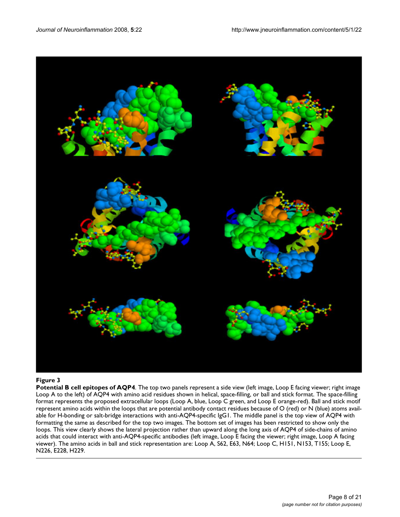

#### **Figure 3**

**Potential B cell epitopes of AQP4**. The top two panels represent a side view (left image, Loop E facing viewer; right image Loop A to the left) of AQP4 with amino acid residues shown in helical, space-filling, or ball and stick format. The space-filling format represents the proposed extracellular loops (Loop A, blue, Loop C green, and Loop E orange-red). Ball and stick motif represent amino acids within the loops that are potential antibody contact residues because of O (red) or N (blue) atoms available for H-bonding or salt-bridge interactions with anti-AQP4-specific IgG1. The middle panel is the top view of AQP4 with formatting the same as described for the top two images. The bottom set of images has been restricted to show only the loops. This view clearly shows the lateral projection rather than upward along the long axis of AQP4 of side-chains of amino acids that could interact with anti-AQP4-specific antibodies (left image, Loop E facing the viewer; right image, Loop A facing viewer). The amino acids in ball and stick representation are: Loop A, S62, E63, N64; Loop C, H151, N153, T155; Loop E, N226, E228, H229.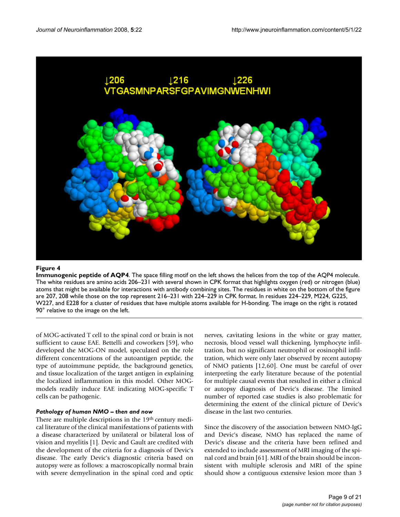

## **Figure 4**

**Immunogenic peptide of AQP4**. The space filling motif on the left shows the helices from the top of the AQP4 molecule. The white residues are amino acids 206–231 with several shown in CPK format that highlights oxygen (red) or nitrogen (blue) atoms that might be available for interactions with antibody combining sites. The residues in white on the bottom of the figure are 207, 208 while those on the top represent 216–231 with 224–229 in CPK format. In residues 224–229, M224, G225, W227, and E228 for a cluster of residues that have multiple atoms available for H-bonding. The image on the right is rotated 90° relative to the image on the left.

of MOG-activated T cell to the spinal cord or brain is not sufficient to cause EAE. Bettelli and coworkers [59], who developed the MOG-ON model, speculated on the role different concentrations of the autoantigen peptide, the type of autoimmune peptide, the background genetics, and tissue localization of the target antigen in explaining the localized inflammation in this model. Other MOGmodels readily induce EAE indicating MOG-specific T cells can be pathogenic.

#### *Pathology of human NMO – then and now*

There are multiple descriptions in the 19<sup>th</sup> century medical literature of the clinical manifestations of patients with a disease characterized by unilateral or bilateral loss of vision and myelitis [1]. Devic and Gault are credited with the development of the criteria for a diagnosis of Devic's disease. The early Devic's diagnostic criteria based on autopsy were as follows: a macroscopically normal brain with severe demyelination in the spinal cord and optic nerves, cavitating lesions in the white or gray matter, necrosis, blood vessel wall thickening, lymphocyte infiltration, but no significant neutrophil or eosinophil infiltration, which were only later observed by recent autopsy of NMO patients [12,60]. One must be careful of over interpreting the early literature because of the potential for multiple causal events that resulted in either a clinical or autopsy diagnosis of Devic's disease. The limited number of reported case studies is also problematic for determining the extent of the clinical picture of Devic's disease in the last two centuries.

Since the discovery of the association between NMO-IgG and Devic's disease, NMO has replaced the name of Devic's disease and the criteria have been refined and extended to include assessment of MRI imaging of the spinal cord and brain [61]. MRI of the brain should be inconsistent with multiple sclerosis and MRI of the spine should show a contiguous extensive lesion more than 3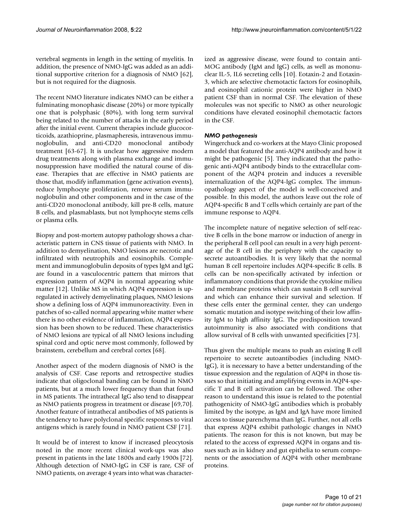vertebral segments in length in the setting of myelitis. In addition, the presence of NMO-IgG was added as an additional supportive criterion for a diagnosis of NMO [62], but is not required for the diagnosis.

The recent NMO literature indicates NMO can be either a fulminating monophasic disease (20%) or more typically one that is polyphasic (80%), with long term survival being related to the number of attacks in the early period after the initial event. Current therapies include glucocorticoids, azathioprine, plasmapheresis, intravenous immunoglobulin, and anti-CD20 monoclonal antibody treatment [63-67]. It is unclear how aggressive modern drug treatments along with plasma exchange and immunosuppression have modified the natural course of disease. Therapies that are effective in NMO patients are those that, modify inflammation (gene activation events), reduce lymphocyte proliferation, remove serum immunoglobulin and other components and in the case of the anti-CD20 monoclonal antibody, kill pre-B cells, mature B cells, and plasmablasts, but not lymphocyte stems cells or plasma cells.

Biopsy and post-mortem autopsy pathology shows a characteristic pattern in CNS tissue of patients with NMO. In addition to demyelination, NMO lesions are necrotic and infiltrated with neutrophils and eosinophils. Complement and immunoglobulin deposits of types IgM and IgG are found in a vasculocentric pattern that mirrors that expression pattern of AQP4 in normal appearing white matter [12]. Unlike MS in which AQP4 expression is upregulated in actively demyelinating plaques, NMO lesions show a defining loss of AQP4 immunoreactivity. Even in patches of so-called normal appearing white matter where there is no other evidence of inflammation, AQP4 expression has been shown to be reduced. These characteristics of NMO lesions are typical of all NMO lesions including spinal cord and optic nerve most commonly, followed by brainstem, cerebellum and cerebral cortex [68].

Another aspect of the modern diagnosis of NMO is the analysis of CSF. Case reports and retrospective studies indicate that oligoclonal banding can be found in NMO patients, but at a much lower frequency than that found in MS patients. The intrathecal IgG also tend to disappear as NMO patients progress in treatment or disease [69,70]. Another feature of intrathecal antibodies of MS patients is the tendency to have polyclonal specific responses to viral antigens which is rarely found in NMO patient CSF [71].

It would be of interest to know if increased pleocytosis noted in the more recent clinical work-ups was also present in patients in the late 1800s and early 1900s [72]. Although detection of NMO-IgG in CSF is rare, CSF of NMO patients, on average 4 years into what was characterized as aggressive disease, were found to contain anti-MOG antibody (IgM and IgG) cells, as well as mononuclear IL-5, IL6 secreting cells [10]. Eotaxin-2 and Eotaxin-3, which are selective chemotactic factors for eosinophils, and eosinophil cationic protein were higher in NMO patient CSF than in normal CSF. The elevation of these molecules was not specific to NMO as other neurologic conditions have elevated eosinophil chemotactic factors in the CSF.

## *NMO pathogenesis*

Wingerchuck and co-workers at the Mayo Clinic proposed a model that featured the anti-AQP4 antibody and how it might be pathogenic [5]. They indicated that the pathogenic anti-AQP4 antibody binds to the extracellular component of the AQP4 protein and induces a reversible internalization of the AQP4-IgG complex. The immunopathology aspect of the model is well-conceived and possible. In this model, the authors leave out the role of AQP4-specific B and T cells which certainly are part of the immune response to AQP4.

The incomplete nature of negative selection of self-reactive B cells in the bone marrow or induction of anergy in the peripheral B cell pool can result in a very high percentage of the B cell in the periphery with the capacity to secrete autoantibodies. It is very likely that the normal human B cell repertoire includes AQP4-specific B cells. B cells can be non-specifically activated by infection or inflammatory conditions that provide the cytokine milieu and membrane proteins which can sustain B cell survival and which can enhance their survival and selection. If these cells enter the germinal center, they can undergo somatic mutation and isotype switching of their low affinity IgM to high affinity IgG. The predisposition toward autoimmunity is also associated with conditions that allow survival of B cells with unwanted specificities [73].

Thus given the multiple means to push an existing B cell repertoire to secrete autoantibodies (including NMO-IgG), it is necessary to have a better understanding of the tissue expression and the regulation of AQP4 in those tissues so that initiating and amplifying events in AQP4-specific T and B cell activation can be followed. The other reason to understand this issue is related to the potential pathogenicity of NMO-IgG antibodies which is probably limited by the isotype, as IgM and IgA have more limited access to tissue parenchyma than IgG. Further, not all cells that express AQP4 exhibit pathologic changes in NMO patients. The reason for this is not known, but may be related to the access of expressed AQP4 in organs and tissues such as in kidney and gut epithelia to serum components or the association of AQP4 with other membrane proteins.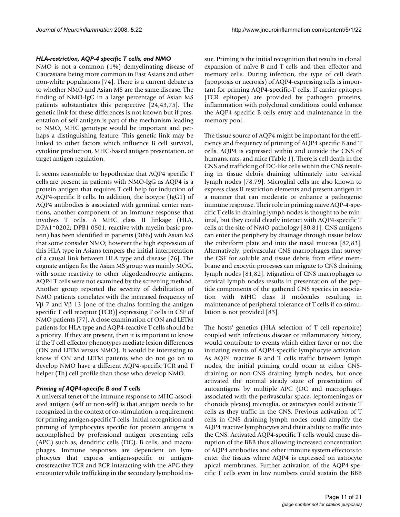#### *HLA-restriction, AQP-4 specific T cells, and NMO*

NMO is not a common (1%) demyelinating disease of Caucasians being more common in East Asians and other non-white populations [74]. There is a current debate as to whether NMO and Asian MS are the same disease. The finding of NMO-IgG in a large percentage of Asian MS patients substantiates this perspective [24,43,75]. The genetic link for these differences is not known but if presentation of self antigen is part of the mechanism leading to NMO, MHC genotype would be important and perhaps a distinguishing feature. This genetic link may be linked to other factors which influence B cell survival, cytokine production, MHC-based antigen presentation, or target antigen regulation.

It seems reasonable to hypothesize that AQP4 specific T cells are present in patients with NMO-IgG as AQP4 is a protein antigen that requires T cell help for induction of AQP4-specific B cells. In addition, the isotype (IgG1) of AQP4 antibodies is associated with germinal center reactions, another component of an immune response that involves T cells. A MHC class II linkage (HLA, DPA1\*0202; DPB1 0501; reactive with myelin basic protein) has been identified in patients (90%) with Asian MS that some consider NMO; however the high expression of this HLA type in Asians tempers the initial interpretation of a causal link between HLA type and disease [76]. The cognate antigen for the Asian MS group was mainly MOG, with some reactivity to other oligodendrocyte antigens. AQP4 T cells were not examined by the screening method. Another group reported the severity of debilitation of NMO patients correlates with the increased frequency of Vβ 7 and Vβ 13 [one of the chains forming the antigen specific T cell receptor (TCR)] expressing T cells in CSF of NMO patients [77]. A close examination of ON and LETM patients for HLA type and AQP4-reactive T cells should be a priority. If they are present, then it is important to know if the T cell effector phenotypes mediate lesion differences (ON and LETM versus NMO). It would be interesting to know if ON and LETM patients who do not go on to develop NMO have a different AQP4-specific TCR and T helper (Th) cell profile than those who develop NMO.

#### *Priming of AQP4-specific B and T cells*

A universal tenet of the immune response to MHC-associated antigen (self or non-self) is that antigen needs to be recognized in the context of co-stimulation, a requirement for priming antigen-specific T cells. Initial recognition and priming of lymphocytes specific for protein antigens is accomplished by professional antigen presenting cells (APC) such as, dendritic cells (DC), B cells, and macrophages. Immune responses are dependent on lymphocytes that express antigen-specific or antigencrossreactive TCR and BCR interacting with the APC they encounter while trafficking in the secondary lymphoid tissue. Priming is the initial recognition that results in clonal expansion of naïve B and T cells and then effector and memory cells. During infection, the type of cell death (apoptosis or necrosis) of AQP4-expressing cells is important for priming AQP4-specific-T cells. If carrier epitopes (TCR epitopes) are provided by pathogen proteins, inflammation with polyclonal conditions could enhance the AQP4 specific B cells entry and maintenance in the memory pool.

The tissue source of AQP4 might be important for the efficiency and frequency of priming of AQP4 specific B and T cells. AQP4 is expressed within and outside the CNS of humans, rats, and mice (Table 1). There is cell death in the CNS and trafficking of DC-like cells within the CNS resulting in tissue debris draining ultimately into cervical lymph nodes [78,79]. Microglial cells are also known to express class II restriction elements and present antigen in a manner that can moderate or enhance a pathogenic immune response. Their role in priming naïve AQP-4-specific T cells in draining lymph nodes is thought to be minimal, but they could clearly interact with AQP4-specific T cells at the site of NMO pathology [80,81]. CNS antigens can enter the periphery by drainage through tissue below the cribriform plate and into the nasal mucosa [82,83]. Alternatively, perivascular CNS macrophages that survey the CSF for soluble and tissue debris from effete membrane and exocytic processes can migrate to CNS draining lymph nodes [81,82]. Migration of CNS macrophages to cervical lymph nodes results in presentation of the peptide components of the gathered CNS species in association with MHC class II molecules resulting in maintenance of peripheral tolerance of T cells if co-stimulation is not provided [83].

The hosts' genetics (HLA selection of T cell repertoire) coupled with infectious disease or inflammatory history, would contribute to events which either favor or not the initiating events of AQP4-specific lymphocyte activation. As AQP4 reactive B and T cells traffic between lymph nodes, the initial priming could occur at either CNSdraining or non-CNS draining lymph nodes, but once activated the normal steady state of presentation of autoantigens by multiple APC (DC and macrophages associated with the perivascular space, leptomeninges or choroids plexus) microglia, or astrocytes could activate T cells as they traffic in the CNS. Previous activation of T cells in CNS draining lymph nodes could amplify the AQP4 reactive lymphocytes and their ability to traffic into the CNS. Activated AQP4-specific T cells would cause disruption of the BBB thus allowing increased concentration of AQP4 antibodies and other immune system effectors to enter the tissues where AQP4 is expressed on astrocyte apical membranes. Further activation of the AQP4-specific T cells even in low numbers could sustain the BBB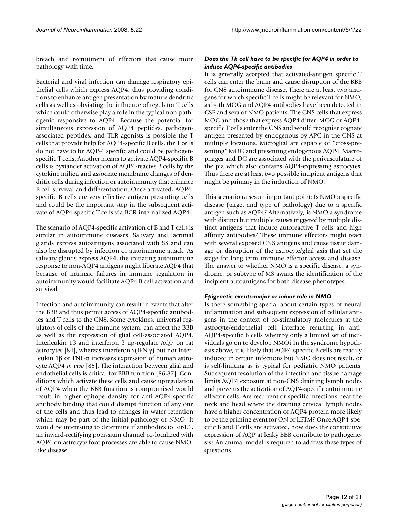breach and recruitment of effectors that cause more pathology with time.

Bacterial and viral infection can damage respiratory epithelial cells which express AQP4, thus providing conditions to enhance antigen presentation by mature dendritic cells as well as obviating the influence of regulator T cells which could otherwise play a role in the typical non-pathogenic responsive to AQP4. Because the potential for simultaneous expression of AQP4 peptides, pathogenassociated peptides, and TLR agonists is possible the T cells that provide help for AQP4-specific B cells, the T cells do not have to be AQP-4 specific and could be pathogenspecific T cells. Another means to activate AQP4-specific B cells is bystander activation of AQP4-reactve B cells by the cytokine milieu and associate membrane changes of dendritic cells during infection or autoimmunity that enhance B cell survival and differentiation. Once activated, AQP4 specific B cells are very effective antigen presenting cells and could be the important step in the subsequent activate of AQP4-specific T cells via BCR-internalized AQP4.

The scenario of AQP4-specific activation of B and T cells is similar in autoimmune diseases. Salivary and lacrimal glands express autoantigens associated with SS and can also be disrupted by infection or autoimmune attack. As salivary glands express AQP4, the initiating autoimmune response to non-AQP4 antigens might liberate AQP4 that because of intrinsic failures in immune regulation in autoimmunity would facilitate AQP4 B cell activation and survival.

Infection and autoimmunity can result in events that alter the BBB and thus permit access of AQP4-specific antibodies and T cells to the CNS. Some cytokines, universal regulators of cells of the immune system, can affect the BBB as well as the expression of glial cell-associated AQP4. Interleukin 1β and interferon β up-regulate AQP on rat astrocytes [84], whereas interferon  $γ$ (IFN- $γ$ ) but not Interleukin 1β or TNF-α increases expression of human astrocyte AQP4 *in vivo* [85]. The interaction between glial and endothelial cells is critical for BBB function [86,87]. Conditions which activate these cells and cause upregulation of AQP4 when the BBB function is compromised would result in higher epitope density for anti-AQP4-specific antibody binding that could disrupt function of any one of the cells and thus lead to changes in water retention which may be part of the initial pathology of NMO. It would be interesting to determine if antibodies to Kir4.1, an inward-rectifying potassium channel co-localized with AQP4 on astrocyte foot processes are able to cause NMOlike disease.

#### *Does the Th cell have to be specific for AQP4 in order to induce AQP4-specific antibodies*

It is generally accepted that activated-antigen specific T cells can enter the brain and cause disruption of the BBB for CNS autoimmune disease. There are at least two antigens for which specific T cells might be relevant for NMO, as both MOG and AQP4 antibodies have been detected in CSF and sera of NMO patients. The CNS cells that express MOG and those that express AQP4 differ. MOG or AQP4 specific T cells enter the CNS and would recognize cognate antigen presented by endogenous by APC in the CNS at multiple locations. Microglial are capable of "cross-presenting" MOG and presenting endogenous AQP4. Macrophages and DC are associated with the perivasculature of the pia which also contains AQP4-expressing astrocytes. Thus there are at least two possible incipient antigens that might be primary in the induction of NMO.

This scenario raises an important point: Is NMO a specific disease (target and type of pathology) due to a specific antigen such as AQP4? Alternatively, is NMO a syndrome with distinct but multiple causes triggered by multiple distinct antigens that induce autoreactive T cells and high affinity antibodies? These immune effectors might react with several exposed CNS antigens and cause tissue damage or disruption of the astrocyte/glial axis that set the stage for long term immune effector access and disease. The answer to whether NMO is a specific disease, a syndrome, or subtype of MS awaits the identification of the insipient autoantigens for both disease phenotypes.

#### *Epigenetic events-major or minor role in NMO*

Is there something special about certain types of neural inflammation and subsequent expression of cellular antigens in the context of co-stimulatory molecules at the astrocyte/endothelial cell interface resulting in anti-AQP4-specific B cells whereby only a limited set of individuals go on to develop NMO? In the syndrome hypothesis above, it is likely that AQP4-specific B cells are readily induced in certain infections but NMO does not result, or is self-limiting as is typical for pediatric NMO patients. Subsequent resolution of the infection and tissue damage limits AQP4 exposure at non-CNS draining lymph nodes and prevents the activation of AQP4-specific autoimmune effector cells. Are recurrent or specific infections near the neck and head where the draining cervical lymph nodes have a higher concentration of AQP4 protein more likely to be the priming event for ON or LETM? Once AQP4-specific B and T cells are activated, how does the constitutive expression of AQP at leaky BBB contribute to pathogenesis? An animal model is required to address these types of questions.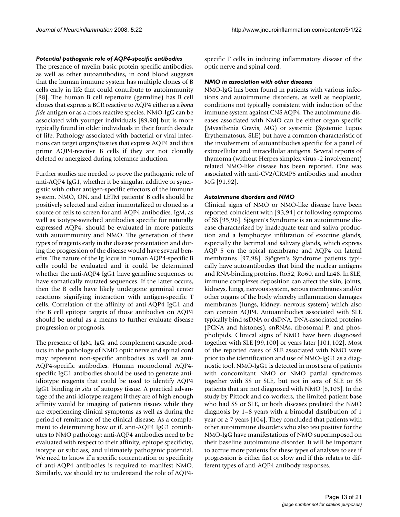#### *Potential pathogenic role of AQP4-specific antibodies*

The presence of myelin basic protein specific antibodies, as well as other autoantibodies, in cord blood suggests that the human immune system has multiple clones of B cells early in life that could contribute to autoimmunity [88]. The human B cell repertoire (germline) has B cell clones that express a BCR reactive to AQP4 either as a *bona fide* antigen or as a cross reactive species. NMO-IgG can be associated with younger individuals [89,90] but is more typically found in older individuals in their fourth decade of life. Pathology associated with bacterial or viral infections can target organs/tissues that express AQP4 and thus prime AQP4-reactive B cells if they are not clonally deleted or anergized during tolerance induction.

Further studies are needed to prove the pathogenic role of anti-AQP4 IgG1, whether it be singular, additive or synergistic with other antigen-specific effectors of the immune system. NMO, ON, and LETM patients' B cells should be positively selected and either immortalized or cloned as a source of cells to screen for anti-AQP4 antibodies. IgM, as well as isotype-switched antibodies specific for naturally expressed AQP4, should be evaluated in more patients with autoimmunity and NMO. The generation of these types of reagents early in the disease presentation and during the progression of the disease would have several benefits. The nature of the Ig locus in human AQP4-specific B cells could be evaluated and it could be determined whether the anti-AQP4 IgG1 have germline sequences or have somatically mutated sequences. If the latter occurs, then the B cells have likely undergone germinal center reactions signifying interaction with antigen-specific T cells. Correlation of the affinity of anti-AQP4 IgG1 and the B cell epitope targets of those antibodies on AQP4 should be useful as a means to further evaluate disease progression or prognosis.

The presence of IgM, IgG, and complement cascade products in the pathology of NMO optic nerve and spinal cord may represent non-specific antibodies as well as anti-AQP4-specific antibodies. Human monoclonal AQP4 specific IgG1 antibodies should be used to generate antiidiotype reagents that could be used to identify AQP4 IgG1 binding *in situ* of autopsy tissue. A practical advantage of the anti-idiotype reagent if they are of high enough affinity would be imaging of patients tissues while they are experiencing clinical symptoms as well as during the period of remittance of the clinical disease. As a complement to determining how or if, anti-AQP4 IgG1 contributes to NMO pathology; anti-AQP4 antibodies need to be evaluated with respect to their affinity, epitope specificity, isotype or subclass, and ultimately pathogenic potential. We need to know if a specific concentration or specificity of anti-AQP4 antibodies is required to manifest NMO. Similarly, we should try to understand the role of AQP4specific T cells in inducing inflammatory disease of the optic nerve and spinal cord.

#### *NMO in association with other diseases*

NMO-IgG has been found in patients with various infections and autoimmune disorders, as well as neoplastic, conditions not typically consistent with induction of the immune system against CNS AQP4. The autoimmune diseases associated with NMO can be either organ specific (Myasthenia Gravis, MG) or systemic (Systemic Lupus Erythematosus, SLE) but have a common characteristic of the involvement of autoantibodies specific for a panel of extracellular and intracellular antigens. Several reports of thymoma (without Herpes simplex virus -2 involvement) related NMO-like disease has been reported. One was associated with anti-CV2/CRMP5 antibodies and another MG [91,92].

#### *Autoimmune disorders and NMO*

Clinical signs of NMO or NMO-like disease have been reported coincident with [93,94] or following symptoms of SS [95,96]. Sjögren's Syndrome is an autoimmune disease characterized by inadequate tear and saliva production and a lymphocyte infiltration of exocrine glands, especially the lacrimal and salivary glands, which express AQP 5 on the apical membrane and AQP4 on lateral membranes [97,98]. Sjögren's Syndrome patients typically have autoantibodies that bind the nuclear antigens and RNA-binding proteins, Ro52, Ro60, and La48. In SLE, immune complexes deposition can affect the skin, joints, kidneys, lungs, nervous system, serous membranes and/or other organs of the body whereby inflammation damages membranes (lungs, kidney, nervous system) which also can contain AQP4. Autoantibodies associated with SLE typically bind ssDNA or dsDNA, DNA-associated proteins (PCNA and histones), snRNAs, ribosomal P, and phospholipids. Clinical signs of NMO have been diagnosed together with SLE [99,100] or years later [101,102]. Most of the reported cases of SLE associated with NMO were prior to the identification and use of NMO-IgG1 as a diagnostic tool. NMO-IgG1 is detected in most sera of patients with concomitant NMO or NMO partial syndromes together with SS or SLE, but not in sera of SLE or SS patients that are not diagnosed with NMO [8,103]. In the study by Pittock and co-workers, the limited patient base who had SS or SLE, or both diseases predated the NMO diagnosis by 1–8 years with a bimodal distribution of 1 year or  $\geq$  7 years [104]. They concluded that patients with other autoimmune disorders who also test positive for the NMO-IgG have manifestations of NMO superimposed on their baseline autoimmune disorder. It will be important to accrue more patients for these types of analyses to see if progression is either fast or slow and if this relates to different types of anti-AQP4 antibody responses.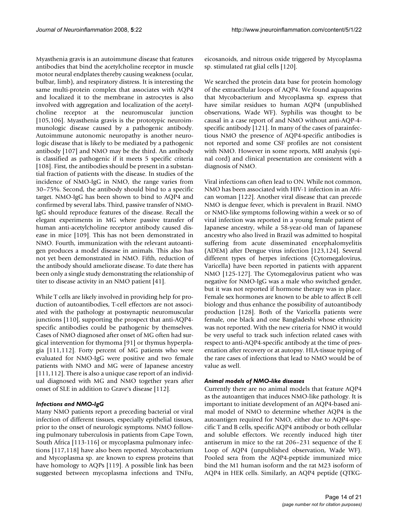Myasthenia gravis is an autoimmune disease that features antibodies that bind the acetylcholine receptor in muscle motor neural endplates thereby causing weakness (ocular, bulbar, limb), and respiratory distress. It is interesting the same multi-protein complex that associates with AQP4 and localized it to the membrane in astrocytes is also involved with aggregation and localization of the acetylcholine receptor at the neuromuscular junction [105,106]. Myasthenia gravis is the prototypic neuroimmunologic disease caused by a pathogenic antibody. Autoimmune autonomic neuropathy is another neurologic disease that is likely to be mediated by a pathogenic antibody [107] and NMO may be the third. An antibody is classified as pathogenic if it meets 5 specific criteria [108]. First, the antibodies should be present in a substantial fraction of patients with the disease. In studies of the incidence of NMO-IgG in NMO, the range varies from 30–75%. Second, the antibody should bind to a specific target. NMO-IgG has been shown to bind to AQP4 and confirmed by several labs. Third, passive transfer of NMO-IgG should reproduce features of the disease. Recall the elegant experiments in MG where passive transfer of human anti-acetylcholine receptor antibody caused disease in mice [109]. This has not been demonstrated in NMO. Fourth, immunization with the relevant autoantigen produces a model disease in animals. This also has not yet been demonstrated in NMO. Fifth, reduction of the antibody should ameliorate disease. To date there has been only a single study demonstrating the relationship of titer to disease activity in an NMO patient [41].

While T cells are likely involved in providing help for production of autoantibodies, T-cell effectors are not associated with the pathology at postsynaptic neuromuscular junctions [110], supporting the prospect that anti-AQP4 specific antibodies could be pathogenic by themselves. Cases of NMO diagnosed after onset of MG often had surgical intervention for thymoma [91] or thymus hyperplagia [111,112]. Forty percent of MG patients who were evaluated for NMO-IgG were positive and two female patients with NMO and MG were of Japanese ancestry [111,112]. There is also a unique case report of an individual diagnosed with MG and NMO together years after onset of SLE in addition to Grave's disease [112].

#### *Infections and NMO-IgG*

Many NMO patients report a preceding bacterial or viral infection of different tissues, especially epithelial tissues, prior to the onset of neurologic symptoms. NMO following pulmonary tuberculosis in patients from Cape Town, South Africa [113-116] or mycoplasma pulmonary infections [117,118] have also been reported. Mycobacterium and Mycoplasma sp. are known to express proteins that have homology to AQPs [119]. A possible link has been suggested between mycoplasma infections and TNFα,

eicosanoids, and nitrous oxide triggered by Mycoplasma sp. stimulated rat glial cells [120].

We searched the protein data base for protein homology of the extracellular loops of AQP4. We found aquaporins that Mycobacterium and Mycoplasma sp. express that have similar residues to human AQP4 (unpublished observations, Wade WF). Syphilis was thought to be causal in a case report of and NMO without anti-AQP-4 specific antibody [121]. In many of the cases of parainfectious NMO the presence of AQP4-specific antibodies is not reported and some CSF profiles are not consistent with NMO. However in some reports, MRI analysis (spinal cord) and clinical presentation are consistent with a diagnosis of NMO.

Viral infections can often lead to ON. While not common, NMO has been associated with HIV-1 infection in an African woman [122]. Another viral disease that can precede NMO is dengue fever, which is prevalent in Brazil. NMO or NMO-like symptoms following within a week or so of viral infection was reported in a young female patient of Japanese ancestry, while a 58-year-old man of Japanese ancestry who also lived in Brazil was admitted to hospital suffering from acute disseminated encephalomyelitis (ADEM) after Dengue virus infection [123,124]. Several different types of herpes infections (Cytomegalovirus, Varicella) have been reported in patients with apparent NMO [125-127]. The Cytomegalovirus patient who was negative for NMO-IgG was a male who switched gender, but it was not reported if hormone therapy was in place. Female sex hormones are known to be able to affect B cell biology and thus enhance the possibility of autoantibody production [128]. Both of the Varicella patients were female, one black and one Bangladeshi whose ethnicity was not reported. With the new criteria for NMO it would be very useful to track such infection related cases with respect to anti-AQP4-specific antibody at the time of presentation after recovery or at autopsy. HLA-tissue typing of the rare cases of infections that lead to NMO would be of value as well.

#### *Animal models of NMO-like diseases*

Currently there are no animal models that feature AQP4 as the autoantigen that induces NMO-like pathology. It is important to initiate development of an AQP4-based animal model of NMO to determine whether AQP4 is the autoantigen required for NMO, either due to AQP4-specific T and B cells, specific AQP4 antibody or both cellular and soluble effectors. We recently induced high titer antiserum in mice to the rat 206–231 sequence of the E Loop of AQP4 (unpublished observation, Wade WF). Pooled sera from the AQP4-peptide immunized mice bind the M1 human isoform and the rat M23 isoform of AQP4 in HEK cells. Similarly, an AQP4 peptide (QTKG-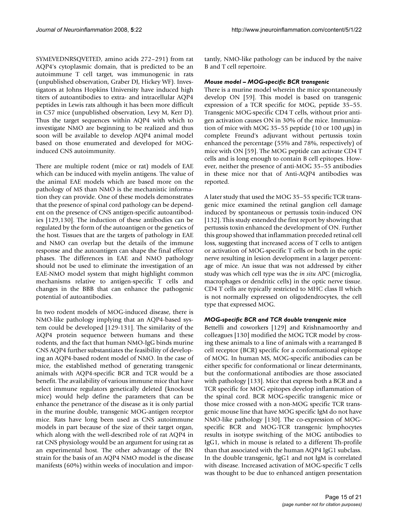SYMEVEDNRSQVETED, amino acids 272–291) from rat AQP4's cytoplasmic domain, that is predicted to be an autoimmune T cell target, was immunogenic in rats (unpublished observation, Graber DJ, Hickey WF). Investigators at Johns Hopkins University have induced high titers of autoantibodies to extra- and intracellular AQP4 peptides in Lewis rats although it has been more difficult in C57 mice (unpublished observation, Levy M, Kerr D). Thus the target sequences within AQP4 with which to investigate NMO are beginning to be realized and thus soon will be available to develop AQP4 animal model based on those enumerated and developed for MOGinduced CNS autoimmunity.

There are multiple rodent (mice or rat) models of EAE which can be induced with myelin antigens. The value of the animal EAE models which are based more on the pathology of MS than NMO is the mechanistic information they can provide. One of these models demonstrates that the presence of spinal cord pathology can be dependent on the presence of CNS antigen-specific autoantibodies [129,130]. The induction of these antibodies can be regulated by the form of the autoantigen or the genetics of the host. Tissues that are the targets of pathology in EAE and NMO can overlap but the details of the immune response and the autoantigen can shape the final effector phases. The differences in EAE and NMO pathology should not be used to eliminate the investigation of an EAE-NMO model system that might highlight common mechanisms relative to antigen-specific T cells and changes in the BBB that can enhance the pathogenic potential of autoantibodies.

In two rodent models of MOG-induced disease, there is NMO-like pathology implying that an AQP4-based system could be developed [129-131]. The similarity of the AQP4 protein sequence between humans and these rodents, and the fact that human NMO-IgG binds murine CNS AQP4 further substantiates the feasibility of developing an AQP4-based rodent model of NMO. In the case of mice, the established method of generating transgenic animals with AQP4-specific BCR and TCR would be a benefit. The availability of various immune mice that have select immune regulators genetically deleted (knockout mice) would help define the parameters that can be enhance the penetrance of the disease as it is only partial in the murine double, transgenic MOG-antigen receptor mice. Rats have long been used as CNS autoimmune models in part because of the size of their target organ, which along with the well-described role of rat AQP4 in rat CNS physiology would be an argument for using rat as an experimental host. The other advantage of the BN strain for the basis of an AQP4 NMO model is the disease manifests (60%) within weeks of inoculation and importantly, NMO-like pathology can be induced by the naive B and T cell repertoire.

#### *Mouse model – MOG-specific BCR transgenic*

There is a murine model wherein the mice spontaneously develop ON [59]. This model is based on transgenic expression of a TCR specific for MOG, peptide 35–55. Transgenic MOG-specific CD4 T cells, without prior antigen activation causes ON in 30% of the mice. Immunization of mice with MOG 35–55 peptide (10 or 100 μgs) in complete Freund's adjuvant without pertussis toxin enhanced the percentage (55% and 78%, respectively) of mice with ON [59]. The MOG peptide can activate CD4 T cells and is long enough to contain B cell epitopes. However, neither the presence of anti-MOG 35–55 antibodies in these mice nor that of Anti-AQP4 antibodies was reported.

A later study that used the MOG 35–55 specific TCR transgenic mice examined the retinal ganglion cell damage induced by spontaneous or pertussis toxin-induced ON [132]. This study extended the first report by showing that pertussis toxin enhanced the development of ON. Further this group showed that inflammation preceded retinal cell loss, suggesting that increased access of T cells to antigen or activation of MOG-specific T cells or both in the optic nerve resulting in lesion development in a larger percentage of mice. An issue that was not addressed by either study was which cell type was the *in situ* APC (microglia, macrophages or dendritic cells) in the optic nerve tissue. CD4 T cells are typically restricted to MHC class II which is not normally expressed on oligodendrocytes, the cell type that expressed MOG.

#### *MOG-specific BCR and TCR double transgenic mice*

Bettelli and coworkers [129] and Krishnamoorthy and colleagues [130] modified the MOG TCR model by crossing these animals to a line of animals with a rearranged B cell receptor (BCR) specific for a conformational epitope of MOG. In human MS, MOG-specific antibodies can be either specific for conformational or linear determinants, but the conformational antibodies are those associated with pathology [133]. Mice that express both a BCR and a TCR specific for MOG epitopes develop inflammation of the spinal cord. BCR MOG-specific transgenic mice or those mice crossed with a non-MOG specific TCR transgenic mouse line that have MOG specific IgM do not have NMO-like pathology [130]. The co-expression of MOGspecific BCR and MOG-TCR transgenic lymphocytes results in isotype switching of the MOG antibodies to IgG1, which in mouse is related to a different Th-profile than that associated with the human AQP4 IgG1 subclass. In the double transgenic, IgG1 and not IgM is correlated with disease. Increased activation of MOG-specific T cells was thought to be due to enhanced antigen presentation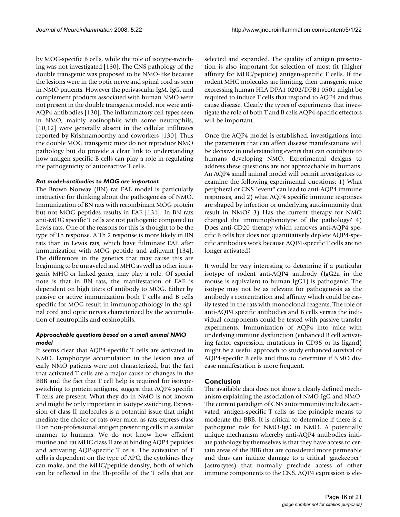by MOG-specific B cells, while the role of isotype-switching was not investigated [130]. The CNS pathology of the double transgenic was proposed to be NMO-like because the lesions were in the optic nerve and spinal cord as seen in NMO patients. However the perivascular IgM, IgG, and complement products associated with human NMO were not present in the double transgenic model, nor were anti-AQP4 antibodies [130]. The inflammatory cell types seen in NMO, mainly eosinophils with some neutrophils, [10,12] were generally absent in the cellular infiltrates reported by Krishnamoorthy and coworkers [130]. Thus the double MOG transgenic mice do not reproduce NMO pathology but do provide a clear link to understanding how antigen specific B cells can play a role in regulating the pathogenicity of autoreactive T cells.

## *Rat model-antibodies to MOG are important*

The Brown Norway (BN) rat EAE model is particularly instructive for thinking about the pathogenesis of NMO. Immunization of BN rats with recombinant MOG protein but not MOG peptides results in EAE [131]. In BN rats anti-MOG specific T cells are not pathogenic compared to Lewis rats. One of the reasons for this is thought to be the type of Th response. A Th 2 response is more likely in BN rats than in Lewis rats, which have fulminate EAE after immunization with MOG peptide and adjuvant [134]. The differences in the genetics that may cause this are beginning to be unraveled and MHC as well as other intragenic MHC or linked genes, may play a role. Of special note is that in BN rats, the manifestation of EAE is dependent on high titers of antibody to MOG. Either by passive or active immunization both T cells and B cells specific for MOG result in immunopathology in the spinal cord and optic nerves characterized by the accumulation of neutrophils and eosinophils.

## *Approachable questions based on a small animal NMO model*

It seems clear that AQP4-specific T cells are activated in NMO. Lymphocyte accumulation in the lesion area of early NMO patients were not characterized, but the fact that activated T cells are a major cause of changes in the BBB and the fact that T cell help is required for isotypeswitching to protein antigens, suggest that AQP4 specific T-cells are present. What they do in NMO is not known and might be only important in isotype switching. Expression of class II molecules is a potential issue that might mediate the choice or rats over mice, as rats express class II on non-professional antigen presenting cells in a similar manner to humans. We do not know how efficient murine and rat MHC class II are at binding AQP4 peptides and activating AQP-specific T cells. The activation of T cells is dependent on the type of APC, the cytokines they can make, and the MHC/peptide density, both of which can be reflected in the Th-profile of the T cells that are selected and expanded. The quality of antigen presentation is also important for selection of most fit (higher affinity for MHC/peptide) antigen-specific T cells. If the rodent MHC molecules are limiting, then transgenic mice expressing human HLA DPA1 0202/DPB1 0501 might be required to induce T cells that respond to AQP4 and thus cause disease. Clearly the types of experiments that investigate the role of both T and B cells AQP4-specific effectors will be important.

Once the AQP4 model is established, investigations into the parameters that can affect disease manifestations will be decisive in understanding events that can contribute to humans developing NMO. Experimental designs to address these questions are not approachable in humans. An AQP4 small animal model will permit investigators to examine the following experimental questions: 1) What peripheral or CNS "event" can lead to anti-AQP4 immune responses, and 2) what AQP4 specific immune responses are shaped by infection or underlying autoimmunity that result in NMO? 3) Has the current therapy for NMO changed the immunophenotype of the pathology? 4) Does anti-CD20 therapy which removes anti-AQP4 specific B cells but does not quantitatively deplete AQP4-specific antibodies work because AQP4-specific T cells are no longer activated?

It would be very interesting to determine if a particular isotype of rodent anti-AQP4 antibody (IgG2a in the mouse is equivalent to human IgG1) is pathogenic. The isotype may not be as relevant for pathogenesis as the antibody's concentration and affinity which could be easily tested in the rats with monoclonal reagents. The role of anti-AQP4 specific antibodies and B cells versus the individual components could be tested with passive transfer experiments. Immunization of AQP4 into mice with underlying immune dysfunction (enhanced B cell activating factor expression, mutations in CD95 or its ligand) might be a useful approach to study enhanced survival of AQP4-specific B cells and thus to determine if NMO disease manifestation is more frequent.

## **Conclusion**

The available data does not show a clearly defined mechanism explaining the association of NMO-IgG and NMO. The current paradigm of CNS autoimmunity includes activated, antigen-specific T cells as the principle means to moderate the BBB. It is critical to determine if there is a pathogenic role for NMO-IgG in NMO. A potentially unique mechanism whereby anti-AQP4 antibodies initiate pathology by themselves is that they have access to certain areas of the BBB that are considered more permeable and thus can initiate damage to a critical 'gatekeeper" (astrocytes) that normally preclude access of other immune components to the CNS. AQP4 expression is ele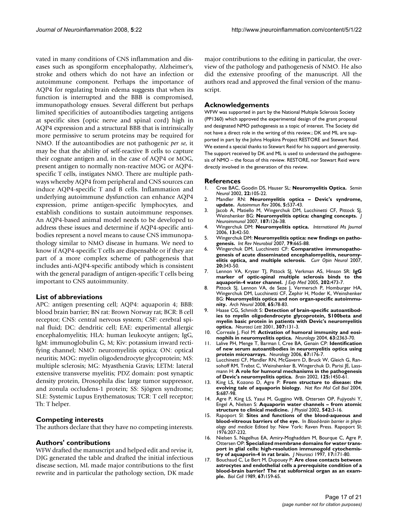vated in many conditions of CNS inflammation and diseases such as spongiform encephalopathy, Alzheimer's, stroke and others which do not have an infection or autoimmune component. Perhaps the importance of AQP4 for regulating brain edema suggests that when its function is interrupted and the BBB is compromised, immunopathology ensues. Several different but perhaps limited specificities of autoantibodies targeting antigens at specific sites (optic nerve and spinal cord) high in AQP4 expression and a structural BBB that is intrinsically more permissive to serum proteins may be required for NMO. If the autoantibodies are not pathogenic *per se*, it may be that the ability of self-reactive B cells to capture their cognate antigen and, in the case of AQP4 or MOG, present antigen to normally non-reactive MOG or AQP4 specific T cells, instigates NMO. There are multiple pathways whereby AQP4 from peripheral and CNS sources can induce AQP4-specific T and B cells. Inflammation and underlying autoimmune dysfunction can enhance AQP4 expression, prime antigen-specific lymphocytes, and establish conditions to sustain autoimmune responses. An AQP4-based animal model needs to be developed to address these issues and determine if AQP4-specific antibodies represent a novel means to cause CNS immunopathology similar to NMO disease in humans. We need to know if AQP4-specific T cells are dispensable or if they are part of a more complex scheme of pathogenesis that includes anti-AQP4-specific antibody which is consistent with the general paradigm of antigen-specific T cells being important to CNS autoimmunity.

#### **List of abbreviations**

APC: antigen presenting cell; AQP4: aquaporin 4; BBB: blood brain barrier; BN rat: Brown Norway rat; BCR: B cell receptor; CNS: central nervous system; CSF: cerebral spinal fluid; DC: dendritic cell; EAE: experimental allergic encephalomyelitis; HLA: human leukocyte antigen; IgG, IgM: immunoglobulin G, M; Kiv: potassium inward rectifying channel; NMO: neuromyelitis optica; ON: optical neuritis; MOG: myelin oligodendrocyte glycoprotein; MS: multiple sclerosis; MG: Myasthenia Gravis; LETM: lateral extensive transverse myelitis; PDZ domain: post synaptic density protein, Drosophila disc large tumor suppressor, and zonula occludens-1 protein; SS: Sjögren syndrome; SLE: Systemic Lupus Erythematosus; TCR: T cell receptor; Th: T helper.

#### **Competing interests**

The authors declare that they have no competing interests.

#### **Authors' contributions**

WFW drafted the manuscript and helped edit and revise it, DJG generated the table and drafted the initial infectious disease section, ML made major contributions to the first rewrite and in particular the pathology section, DK made major contributions to the editing in particular, the overview of the pathology and pathogenesis of NMO. He also did the extensive proofing of the manuscript. All the authors read and approved the final version of the manuscript.

#### **Acknowledgements**

WFW was supported in part by the National Multiple Sclerosis Society (PP1360) which approved the experimental design of the grant proposal and designated NMO pathogenesis as a topic of interest. The Society did not have a direct role in the writing of this review.; DK and ML are supported in part by the Johns Hopkins Project RESTORE and Stewart Reid. We extend a special thanks to Stewart Reid for his support and generosity. The support received by DK and ML is used to understand the pathogenesis of NMO – the focus of this review. RESTORE, nor Stewart Reid were directly involved in the generation of this review.

#### **References**

- 1. Cree BAC, Goodin DS, Hauser SL: **[Neuromyelitis Optica.](http://www.ncbi.nlm.nih.gov/entrez/query.fcgi?cmd=Retrieve&db=PubMed&dopt=Abstract&list_uids=12524556)** *Semin Neurol* 2002, **22:**105-22.
- 2. Mandler RN: **[Neuromyelitis optica Devic's syndrome,](http://www.ncbi.nlm.nih.gov/entrez/query.fcgi?cmd=Retrieve&db=PubMed&dopt=Abstract&list_uids=17027889) [update.](http://www.ncbi.nlm.nih.gov/entrez/query.fcgi?cmd=Retrieve&db=PubMed&dopt=Abstract&list_uids=17027889)** *Autoimmun Rev* 2006, **5:**537-43.
- 3. Jacob A, Matiello M, Wingerchuk DM, Lucchinetti CF, Pittock SJ, Weinshenker BG: **[Neuromyelitis optica: changing concepts.](http://www.ncbi.nlm.nih.gov/entrez/query.fcgi?cmd=Retrieve&db=PubMed&dopt=Abstract&list_uids=17512987)** *J Neuroimmunol* 2007, **187:**126-38.
- 4. Wingerchuk DM: **[Neuromyelitis optica.](http://www.ncbi.nlm.nih.gov/entrez/query.fcgi?cmd=Retrieve&db=PubMed&dopt=Abstract&list_uids=16635421)** *International Ms Journal* 2006, **13:**42-50.
- 5. Wingerchuk DM: **[Neuromyelitis optica: new findings on patho](http://www.ncbi.nlm.nih.gov/entrez/query.fcgi?cmd=Retrieve&db=PubMed&dopt=Abstract&list_uids=17531863)[genesis.](http://www.ncbi.nlm.nih.gov/entrez/query.fcgi?cmd=Retrieve&db=PubMed&dopt=Abstract&list_uids=17531863)** *Int Rev Neurobiol* 2007, **79:**665-88.
- 6. Wingerchuk DM, Lucchinetti CF: **[Comparative immunopatho](http://www.ncbi.nlm.nih.gov/entrez/query.fcgi?cmd=Retrieve&db=PubMed&dopt=Abstract&list_uids=17495631)[genesis of acute disseminated encephalomyelitis, neuromy](http://www.ncbi.nlm.nih.gov/entrez/query.fcgi?cmd=Retrieve&db=PubMed&dopt=Abstract&list_uids=17495631)[elitis optica, and multiple sclerosis.](http://www.ncbi.nlm.nih.gov/entrez/query.fcgi?cmd=Retrieve&db=PubMed&dopt=Abstract&list_uids=17495631)** *Curr Opin Neurol* 2007, **20:**343-50.
- 7. Lennon VA, Kryzer TJ, Pittock SJ, Verkman AS, Hinson SR: **[IgG](http://www.ncbi.nlm.nih.gov/entrez/query.fcgi?cmd=Retrieve&db=PubMed&dopt=Abstract&list_uids=16087714) [marker of optic-spinal multiple sclerosis binds to the](http://www.ncbi.nlm.nih.gov/entrez/query.fcgi?cmd=Retrieve&db=PubMed&dopt=Abstract&list_uids=16087714) [aquaporin-4 water channel.](http://www.ncbi.nlm.nih.gov/entrez/query.fcgi?cmd=Retrieve&db=PubMed&dopt=Abstract&list_uids=16087714)** *J Exp Med* 2005, **202:**473-7.
- 8. Pittock SJ, Lennon VA, de Seze J, Vermersch P, Homburger HA, Wingerchuk DM, Lucchinetti CF, Zephir H, Moder K, Weinshenker BG: **[Neuromyelitis optica and non organ-specific autoimmu](http://www.ncbi.nlm.nih.gov/entrez/query.fcgi?cmd=Retrieve&db=PubMed&dopt=Abstract&list_uids=18195142)[nity.](http://www.ncbi.nlm.nih.gov/entrez/query.fcgi?cmd=Retrieve&db=PubMed&dopt=Abstract&list_uids=18195142)** *Arch Neurol* 2008, **65:**78-83.
- 9. Haase CG, Schmidt S: **[Detection of brain-specific autoantibod](http://www.ncbi.nlm.nih.gov/entrez/query.fcgi?cmd=Retrieve&db=PubMed&dopt=Abstract&list_uids=11427318)[ies to myelin oligodendrocyte glycoprotein, S100beta and](http://www.ncbi.nlm.nih.gov/entrez/query.fcgi?cmd=Retrieve&db=PubMed&dopt=Abstract&list_uids=11427318) myelin basic protein in patients with Devic's neuromyelitis [optica.](http://www.ncbi.nlm.nih.gov/entrez/query.fcgi?cmd=Retrieve&db=PubMed&dopt=Abstract&list_uids=11427318)** *Neurosci Lett* 2001, **307:**131-3.
- 10. Correale J, Fiol M: **[Activation of humoral immunity and eosi](http://www.ncbi.nlm.nih.gov/entrez/query.fcgi?cmd=Retrieve&db=PubMed&dopt=Abstract&list_uids=15623701)[nophils in neuromyelitis optica.](http://www.ncbi.nlm.nih.gov/entrez/query.fcgi?cmd=Retrieve&db=PubMed&dopt=Abstract&list_uids=15623701)** *Neurology* 2004, **63:**2363-70.
- 11. Lalive PH, Menge T, Barman I, Cree BA, Genain CP: **[Identification](http://www.ncbi.nlm.nih.gov/entrez/query.fcgi?cmd=Retrieve&db=PubMed&dopt=Abstract&list_uids=16832107) [of new serum autoantibodies in neuromyelitis optica using](http://www.ncbi.nlm.nih.gov/entrez/query.fcgi?cmd=Retrieve&db=PubMed&dopt=Abstract&list_uids=16832107) [protein microarrays.](http://www.ncbi.nlm.nih.gov/entrez/query.fcgi?cmd=Retrieve&db=PubMed&dopt=Abstract&list_uids=16832107)** *Neurology* 2006, **67:**176-7.
- 12. Lucchinetti CF, Mandler RN, McGavern D, Bruck W, Gleich G, Ransohoff RM, Trebst C, Weinshenker B, Wingerchuk D, Parisi JE, Lassmann H: **[A role for humoral mechanisms in the pathogenesis](http://www.ncbi.nlm.nih.gov/entrez/query.fcgi?cmd=Retrieve&db=PubMed&dopt=Abstract&list_uids=12076996) [of Devic's neuromyelitis optica.](http://www.ncbi.nlm.nih.gov/entrez/query.fcgi?cmd=Retrieve&db=PubMed&dopt=Abstract&list_uids=12076996)** *Brain* 2002, **125:**1450-61.
- 13. King LS, Kozono D, Agre P: **[From structure to disease: the](http://www.ncbi.nlm.nih.gov/entrez/query.fcgi?cmd=Retrieve&db=PubMed&dopt=Abstract&list_uids=15340377) [evolving tale of aquaporin biology.](http://www.ncbi.nlm.nih.gov/entrez/query.fcgi?cmd=Retrieve&db=PubMed&dopt=Abstract&list_uids=15340377)** *Nat Rev Mol Cell Biol* 2004, **5:**687-98.
- 14. Agre P, King LS, Yasui M, Guggino WB, Ottersen OP, Fujiyoshi Y, Engel A, Nielsen S: **[Aquaporin water channels – from atomic](http://www.ncbi.nlm.nih.gov/entrez/query.fcgi?cmd=Retrieve&db=PubMed&dopt=Abstract&list_uids=12096044) [structure to clinical medicine.](http://www.ncbi.nlm.nih.gov/entrez/query.fcgi?cmd=Retrieve&db=PubMed&dopt=Abstract&list_uids=12096044)** *J Physiol* 2002, **542:**3-16.
- 15. Rapoport SI: **Sites and functions of the blood-aqueous and blood-vitreous barriers of the eye.** In *Blood-brain barrier in physiology and medicie* Edited by: New York: Raven Press. Rapoport SI; 1976:207-232.
- 16. Nielsen S, Nagelhus EA, Amiry-Moghaddam M, Bourque C, Agre P, Ottersen OP: **[Specialized membrane domains for water trans](http://www.ncbi.nlm.nih.gov/entrez/query.fcgi?cmd=Retrieve&db=PubMed&dopt=Abstract&list_uids=8987746)[port in glial cells: high-resolution immunogold cytochemis](http://www.ncbi.nlm.nih.gov/entrez/query.fcgi?cmd=Retrieve&db=PubMed&dopt=Abstract&list_uids=8987746)[try of aquaporin-4 in rat brain.](http://www.ncbi.nlm.nih.gov/entrez/query.fcgi?cmd=Retrieve&db=PubMed&dopt=Abstract&list_uids=8987746)** *J Neurosci* 1997, **17:**171-80.
- 17. Bouchaud C, Le Bert M, Dupouey P: **[Are close contacts between](http://www.ncbi.nlm.nih.gov/entrez/query.fcgi?cmd=Retrieve&db=PubMed&dopt=Abstract&list_uids=2698759) [astrocytes and endothelial cells a prerequisite condition of a](http://www.ncbi.nlm.nih.gov/entrez/query.fcgi?cmd=Retrieve&db=PubMed&dopt=Abstract&list_uids=2698759) blood-brain barrier? The rat subfornical organ as an exam[ple.](http://www.ncbi.nlm.nih.gov/entrez/query.fcgi?cmd=Retrieve&db=PubMed&dopt=Abstract&list_uids=2698759)** *Biol Cell* 1989, **67:**159-65.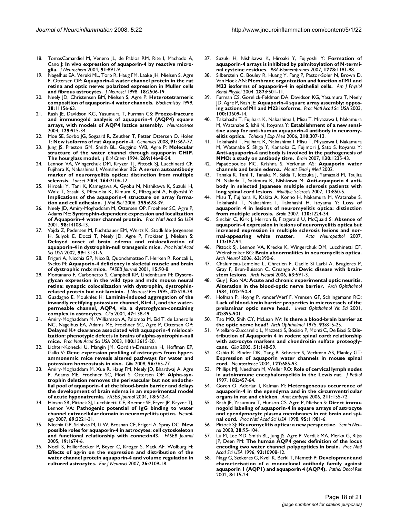- 18. TomasCamardiel M, Venero JL, de Pablos RM, Rite I, Machado A, Cano J: **[In vivo expression of aquaporin-4 by reactive micro](http://www.ncbi.nlm.nih.gov/entrez/query.fcgi?cmd=Retrieve&db=PubMed&dopt=Abstract&list_uids=15525343)[glia.](http://www.ncbi.nlm.nih.gov/entrez/query.fcgi?cmd=Retrieve&db=PubMed&dopt=Abstract&list_uids=15525343)** *J Neurochem* 2004, **91:**891-9.
- 19. Nagelhus EA, Veruki ML, Torp R, Haug FM, Laake JH, Nielsen S, Agre P, Ottersen OP: **[Aquaporin-4 water channel protein in the rat](http://www.ncbi.nlm.nih.gov/entrez/query.fcgi?cmd=Retrieve&db=PubMed&dopt=Abstract&list_uids=9502811) [retina and optic nerve: polarized expression in Muller cells](http://www.ncbi.nlm.nih.gov/entrez/query.fcgi?cmd=Retrieve&db=PubMed&dopt=Abstract&list_uids=9502811) [and fibrous astrocytes.](http://www.ncbi.nlm.nih.gov/entrez/query.fcgi?cmd=Retrieve&db=PubMed&dopt=Abstract&list_uids=9502811)** *J Neurosci* 1998, **18:**2506-19.
- 20. Neely JD, Christensen BM, Nielsen S, Agre P: **[Heterotetrameric](http://www.ncbi.nlm.nih.gov/entrez/query.fcgi?cmd=Retrieve&db=PubMed&dopt=Abstract&list_uids=10460172) [composition of aquaporin-4 water channels.](http://www.ncbi.nlm.nih.gov/entrez/query.fcgi?cmd=Retrieve&db=PubMed&dopt=Abstract&list_uids=10460172)** *Biochemistry* 1999, **38:**11156-63.
- 21. Rash JE, Davidson KG, Yasumura T, Furman CS: **[Freeze-fracture](http://www.ncbi.nlm.nih.gov/entrez/query.fcgi?cmd=Retrieve&db=PubMed&dopt=Abstract&list_uids=15561408) [and immunogold analysis of aquaporin-4 \(AQP4\) square](http://www.ncbi.nlm.nih.gov/entrez/query.fcgi?cmd=Retrieve&db=PubMed&dopt=Abstract&list_uids=15561408) [arrays, with models of AQP4 lattice assembly.](http://www.ncbi.nlm.nih.gov/entrez/query.fcgi?cmd=Retrieve&db=PubMed&dopt=Abstract&list_uids=15561408)** *Neuroscience* 2004, **129:**915-34.
- 22. Moe SE, Sorbo JG, Sogaard R, Zeuthen T, Petter Ottersen O, Holen T: **[New isoforms of rat Aquaporin-4.](http://www.ncbi.nlm.nih.gov/entrez/query.fcgi?cmd=Retrieve&db=PubMed&dopt=Abstract&list_uids=18255256)** *Genomics* 2008, **91:**367-77.
- 23. Jung JS, Preston GM, Smith BL, Guggino WB, Agre P: **[Molecular](http://www.ncbi.nlm.nih.gov/entrez/query.fcgi?cmd=Retrieve&db=PubMed&dopt=Abstract&list_uids=7514176) [structure of the water channel through aquaporin CHIP.](http://www.ncbi.nlm.nih.gov/entrez/query.fcgi?cmd=Retrieve&db=PubMed&dopt=Abstract&list_uids=7514176) [The hourglass model.](http://www.ncbi.nlm.nih.gov/entrez/query.fcgi?cmd=Retrieve&db=PubMed&dopt=Abstract&list_uids=7514176)** *J Biol Chem* 1994, **269:**14648-54.
- 24. Lennon VA, Wingerchuk DM, Kryzer TJ, Pittock SJ, Lucchinetti CF, Fujihara K, Nakashima I, Weinshenker BG: **[A serum autoantibody](http://www.ncbi.nlm.nih.gov/entrez/query.fcgi?cmd=Retrieve&db=PubMed&dopt=Abstract&list_uids=15589308) [marker of neuromyelitis optica: distinction from multiple](http://www.ncbi.nlm.nih.gov/entrez/query.fcgi?cmd=Retrieve&db=PubMed&dopt=Abstract&list_uids=15589308) [sclerosis.](http://www.ncbi.nlm.nih.gov/entrez/query.fcgi?cmd=Retrieve&db=PubMed&dopt=Abstract&list_uids=15589308)** *Lancet* 2004, **364:**2106-12.
- 25. Hiroaki Y, Tani K, Kamegawa A, Gyobu N, Nishikawa K, Suzuki H, Walz T, Sasaki S, Mitsuoka K, Kimura K, Mizoguchi A, Fujiyoshi Y: **[Implications of the aquaporin-4 structure on array forma](http://www.ncbi.nlm.nih.gov/entrez/query.fcgi?cmd=Retrieve&db=PubMed&dopt=Abstract&list_uids=16325200)[tion and cell adhesion.](http://www.ncbi.nlm.nih.gov/entrez/query.fcgi?cmd=Retrieve&db=PubMed&dopt=Abstract&list_uids=16325200)** *J Mol Biol* 2006, **355:**628-39.
- 26. Neely JD, Amiry-Moghaddam M, Ottersen OP, Froehner SC, Agre P, Adams ME: **[Syntrophin-dependent expression and localization](http://www.ncbi.nlm.nih.gov/entrez/query.fcgi?cmd=Retrieve&db=PubMed&dopt=Abstract&list_uids=11717465) [of Aquaporin-4 water channel protein.](http://www.ncbi.nlm.nih.gov/entrez/query.fcgi?cmd=Retrieve&db=PubMed&dopt=Abstract&list_uids=11717465)** *Proc Natl Acad Sci USA* 2001, **98:**14108-13.
- 27. Vajda Z, Pedersen M, Fuchtbauer EM, Wertz K, Stodkilde-Jorgensen H, Sulyok E, Doczi T, Neely JD, Agre P, Frokiaer J, Nielsen S: **[Delayed onset of brain edema and mislocalization of](http://www.ncbi.nlm.nih.gov/entrez/query.fcgi?cmd=Retrieve&db=PubMed&dopt=Abstract&list_uids=12232046) [aquaporin-4 in dystrophin-null transgenic mice.](http://www.ncbi.nlm.nih.gov/entrez/query.fcgi?cmd=Retrieve&db=PubMed&dopt=Abstract&list_uids=12232046)** *Proc Natl Acad Sci USA* 2002, **99:**13131-6.
- 28. Frigeri A, Nicchia GP, Nico B, Quondamatteo F, Herken R, Roncali L, Svelto M: **[Aquaporin-4 deficiency in skeletal muscle and brain](http://www.ncbi.nlm.nih.gov/entrez/query.fcgi?cmd=Retrieve&db=PubMed&dopt=Abstract&list_uids=11149896) [of dystrophic mdx mice.](http://www.ncbi.nlm.nih.gov/entrez/query.fcgi?cmd=Retrieve&db=PubMed&dopt=Abstract&list_uids=11149896)** *FASEB Journal* 2001, **15:**90-8.
- 29. Montanaro F, Carbonetto S, Campbell KP, Lindenbaum M: **[Dystro](http://www.ncbi.nlm.nih.gov/entrez/query.fcgi?cmd=Retrieve&db=PubMed&dopt=Abstract&list_uids=8568939)[glycan expression in the wild type and mdx mouse neural](http://www.ncbi.nlm.nih.gov/entrez/query.fcgi?cmd=Retrieve&db=PubMed&dopt=Abstract&list_uids=8568939) retina: synaptic colocalization with dystrophin, dystrophin[related protein but not laminin.](http://www.ncbi.nlm.nih.gov/entrez/query.fcgi?cmd=Retrieve&db=PubMed&dopt=Abstract&list_uids=8568939)** *J Neurosci Res* 1995, **42:**528-38.
- 30. Guadagno E, Moukhles H: **[Laminin-induced aggregation of the](http://www.ncbi.nlm.nih.gov/entrez/query.fcgi?cmd=Retrieve&db=PubMed&dopt=Abstract&list_uids=15185393) [inwardly rectifying potassium channel, Kir4.1, and the water](http://www.ncbi.nlm.nih.gov/entrez/query.fcgi?cmd=Retrieve&db=PubMed&dopt=Abstract&list_uids=15185393)permeable channel, AQP4, via a dystroglycan-containing [complex in astrocytes.](http://www.ncbi.nlm.nih.gov/entrez/query.fcgi?cmd=Retrieve&db=PubMed&dopt=Abstract&list_uids=15185393)** *Glia* 2004, **47:**138-49.
- 31. Amiry-Moghaddam M, Williamson A, Palomba M, Eid T, de Lanerolle NC, Nagelhus EA, Adams ME, Froehner SC, Agre P, Ottersen OP: **[Delayed K+ clearance associated with aquaporin-4 mislocal](http://www.ncbi.nlm.nih.gov/entrez/query.fcgi?cmd=Retrieve&db=PubMed&dopt=Abstract&list_uids=14597704)ization: phenotypic defects in brains of alpha-syntrophin-null [mice.](http://www.ncbi.nlm.nih.gov/entrez/query.fcgi?cmd=Retrieve&db=PubMed&dopt=Abstract&list_uids=14597704)** *Proc Natl Acad Sci USA* 2003, **100:**13615-20.
- 32. Lichter-Konecki U, Mangin JM, Gordish-Dressman H, Hoffman EP, Gallo V: **[Gene expression profiling of astrocytes from hyper](http://www.ncbi.nlm.nih.gov/entrez/query.fcgi?cmd=Retrieve&db=PubMed&dopt=Abstract&list_uids=18186079)[ammonemic mice reveals altered pathways for water and](http://www.ncbi.nlm.nih.gov/entrez/query.fcgi?cmd=Retrieve&db=PubMed&dopt=Abstract&list_uids=18186079) [potassium homeostasis in vivo.](http://www.ncbi.nlm.nih.gov/entrez/query.fcgi?cmd=Retrieve&db=PubMed&dopt=Abstract&list_uids=18186079)** *Glia* 2008, **56:**365-77.
- 33. Amiry-Moghaddam M, Xue R, Haug FM, Neely JD, Bhardwaj A, Agre P, Adams ME, Froehner SC, Mori S, Ottersen OP: **[Alpha-syn](http://www.ncbi.nlm.nih.gov/entrez/query.fcgi?cmd=Retrieve&db=PubMed&dopt=Abstract&list_uids=14734638)[trophin deletion removes the perivascular but not endothe](http://www.ncbi.nlm.nih.gov/entrez/query.fcgi?cmd=Retrieve&db=PubMed&dopt=Abstract&list_uids=14734638)lial pool of aquaporin-4 at the blood-brain barrier and delays the development of brain edema in an experimental model [of acute hyponatremia.](http://www.ncbi.nlm.nih.gov/entrez/query.fcgi?cmd=Retrieve&db=PubMed&dopt=Abstract&list_uids=14734638)** *FASEB Journal* 2004, **18:**542-4.
- 34. Hinson SR, Pittock SJ, Lucchinetti CF, Roemer SF, Fryer JP, Kryzer TJ, Lennon VA: **[Pathogenic potential of IgG binding to water](http://www.ncbi.nlm.nih.gov/entrez/query.fcgi?cmd=Retrieve&db=PubMed&dopt=Abstract&list_uids=17928579) [channel extracellular domain in neuromyelitis optica.](http://www.ncbi.nlm.nih.gov/entrez/query.fcgi?cmd=Retrieve&db=PubMed&dopt=Abstract&list_uids=17928579)** *Neurology* 2007, **69:**2221-31.
- 35. Nicchia GP, Srinivas M, Li W, Brosnan CF, Frigeri A, Spray DC: **[New](http://www.ncbi.nlm.nih.gov/entrez/query.fcgi?cmd=Retrieve&db=PubMed&dopt=Abstract&list_uids=16103109) [possible roles for aquaporin-4 in astrocytes: cell cytoskeleton](http://www.ncbi.nlm.nih.gov/entrez/query.fcgi?cmd=Retrieve&db=PubMed&dopt=Abstract&list_uids=16103109) [and functional relationship with connexin43.](http://www.ncbi.nlm.nih.gov/entrez/query.fcgi?cmd=Retrieve&db=PubMed&dopt=Abstract&list_uids=16103109)** *FASEB Journal* 2005, **19:**1674-6.
- 36. Noell S, FallierBecker P, Beyer C, Kroger S, Mack AF, Wolburg H: **[Effects of agrin on the expression and distribution of the](http://www.ncbi.nlm.nih.gov/entrez/query.fcgi?cmd=Retrieve&db=PubMed&dopt=Abstract&list_uids=17927773) water channel protein aquaporin-4 and volume regulation in [cultured astrocytes.](http://www.ncbi.nlm.nih.gov/entrez/query.fcgi?cmd=Retrieve&db=PubMed&dopt=Abstract&list_uids=17927773)** *Eur J Neurosci* 2007, **26:**2109-18.
- 37. Suzuki H, Nishikawa K, Hiroaki Y, Fujiyoshi Y: **[Formation of](http://www.ncbi.nlm.nih.gov/entrez/query.fcgi?cmd=Retrieve&db=PubMed&dopt=Abstract&list_uids=18179769) [aquaporin-4 arrays is inhibited by palmitoylation of N-termi](http://www.ncbi.nlm.nih.gov/entrez/query.fcgi?cmd=Retrieve&db=PubMed&dopt=Abstract&list_uids=18179769)[nal cysteine residues.](http://www.ncbi.nlm.nih.gov/entrez/query.fcgi?cmd=Retrieve&db=PubMed&dopt=Abstract&list_uids=18179769)** *BBA-Biomembranes* 2007, **1778:**1181-98.
- 38. Silberstein C, Bouley R, Huang Y, Fang P, Pastor-Soler N, Brown D, Van Hoek AN: **[Membrane organization and function of M1 and](http://www.ncbi.nlm.nih.gov/entrez/query.fcgi?cmd=Retrieve&db=PubMed&dopt=Abstract&list_uids=15149973) [M23 isoforms of aquaporin-4 in epithelial cells.](http://www.ncbi.nlm.nih.gov/entrez/query.fcgi?cmd=Retrieve&db=PubMed&dopt=Abstract&list_uids=15149973)** *Am J Physiol Renal Physiol* 2004, **287:**F501-11.
- 39. Furman CS, Gorelick-Feldman DA, Davidson KG, Yasumura T, Neely JD, Agre P, Rash JE: **[Aquaporin-4 square array assembly: oppos](http://www.ncbi.nlm.nih.gov/entrez/query.fcgi?cmd=Retrieve&db=PubMed&dopt=Abstract&list_uids=14597700)[ing actions of M1 and M23 isoforms.](http://www.ncbi.nlm.nih.gov/entrez/query.fcgi?cmd=Retrieve&db=PubMed&dopt=Abstract&list_uids=14597700)** *Proc Natl Acad Sci USA* 2003, **100:**13609-14.
- 40. Takahashi T, Fujihara K, Nakashima I, Misu T, Miyazawa I, Nakamura M, Watanabe S, Ishii N, Itoyama Y: **[Establishment of a new sensi](http://www.ncbi.nlm.nih.gov/entrez/query.fcgi?cmd=Retrieve&db=PubMed&dopt=Abstract&list_uids=17146196)[tive assay for anti-human aquaporin-4 antibody in neuromy](http://www.ncbi.nlm.nih.gov/entrez/query.fcgi?cmd=Retrieve&db=PubMed&dopt=Abstract&list_uids=17146196)[elitis optica.](http://www.ncbi.nlm.nih.gov/entrez/query.fcgi?cmd=Retrieve&db=PubMed&dopt=Abstract&list_uids=17146196)** *Tohoku J Exp Med* 2006, **210:**307-13.
- 41. Takahashi T, Fujihara K, Nakashima I, Misu T, Miyazawa I, Nakamura M, Watanabe S, Shiga Y, Kanaoka C, Fujimori J, Sato S, Itoyama Y: **[Anti-aquaporin-4 antibody is involved in the pathogenesis of](http://www.ncbi.nlm.nih.gov/entrez/query.fcgi?cmd=Retrieve&db=PubMed&dopt=Abstract&list_uids=17449477) [NMO: a study on antibody titre.](http://www.ncbi.nlm.nih.gov/entrez/query.fcgi?cmd=Retrieve&db=PubMed&dopt=Abstract&list_uids=17449477)** *Brain* 2007, **130:**1235-43.
- 42. Papadopoulos MC, Krishna S, Verkman AS: **Aquaporin water channels and brain edema.** *Mount Sinai J Med* 2002.
- 43. Tanaka K, Tani T, Tanaka M, Saida T, Idezuka J, Yamazaki M, Tsujita M, Nakada T, Sakimura K, Nishizawa M: **[Anti-aquaporin 4 anti](http://www.ncbi.nlm.nih.gov/entrez/query.fcgi?cmd=Retrieve&db=PubMed&dopt=Abstract&list_uids=17468440)[body in selected Japanese multiple sclerosis patients with](http://www.ncbi.nlm.nih.gov/entrez/query.fcgi?cmd=Retrieve&db=PubMed&dopt=Abstract&list_uids=17468440) [long spinal cord lesions.](http://www.ncbi.nlm.nih.gov/entrez/query.fcgi?cmd=Retrieve&db=PubMed&dopt=Abstract&list_uids=17468440)** *Multiple Sclerosis* 2007, **13:**850-5.
- 44. Misu T, Fujihara K, Kakita A, Konno H, Nakamura M, Watanabe S, Takahashi T, Nakashima I, Takahashi H, Itoyama Y: **[Loss of](http://www.ncbi.nlm.nih.gov/entrez/query.fcgi?cmd=Retrieve&db=PubMed&dopt=Abstract&list_uids=17405762) [aquaporin 4 in lesions of neuromyelitis optica: distinction](http://www.ncbi.nlm.nih.gov/entrez/query.fcgi?cmd=Retrieve&db=PubMed&dopt=Abstract&list_uids=17405762) [from multiple sclerosis.](http://www.ncbi.nlm.nih.gov/entrez/query.fcgi?cmd=Retrieve&db=PubMed&dopt=Abstract&list_uids=17405762)** *Brain* 2007, **130:**1224-34.
- 45. Sinclair C, Kirk J, Herron B, Fitzgerald U, McQuaid S: **[Absence of](http://www.ncbi.nlm.nih.gov/entrez/query.fcgi?cmd=Retrieve&db=PubMed&dopt=Abstract&list_uids=17143632) [aquaporin-4 expression in lesions of neuromyelitis optica but](http://www.ncbi.nlm.nih.gov/entrez/query.fcgi?cmd=Retrieve&db=PubMed&dopt=Abstract&list_uids=17143632)** increased expression in multiple sclerosis lesions and nor-<br>mal-appearing white matter. Acta Neuropathol 2007. [mal-appearing white matter.](http://www.ncbi.nlm.nih.gov/entrez/query.fcgi?cmd=Retrieve&db=PubMed&dopt=Abstract&list_uids=17143632) **113:**187-94.
- 46. Pittock SJ, Lennon VA, Krecke K, Wingerchuk DM, Lucchinetti CF, Weinshenker BG: **[Brain abnormalities in neuromyelitis optica.](http://www.ncbi.nlm.nih.gov/entrez/query.fcgi?cmd=Retrieve&db=PubMed&dopt=Abstract&list_uids=16533966)** *Arch Neurol* 2006, **63:**390-6.
- 47. Chalumeau-Lemoine L, Chretien F, Gaelle Si Larbi A, Brugieres P, Gray F, Brun-Buisson C, Creange A: **[Devic disease with brain](http://www.ncbi.nlm.nih.gov/entrez/query.fcgi?cmd=Retrieve&db=PubMed&dopt=Abstract&list_uids=16606774)[stem lesions.](http://www.ncbi.nlm.nih.gov/entrez/query.fcgi?cmd=Retrieve&db=PubMed&dopt=Abstract&list_uids=16606774)** *Arch Neurol* 2006, **63:**591-3.
- 48. Guy J, Rao NA: **[Acute and chronic experimental optic neuritis.](http://www.ncbi.nlm.nih.gov/entrez/query.fcgi?cmd=Retrieve&db=PubMed&dopt=Abstract&list_uids=6703995) [Alteration in the blood-optic nerve barrier.](http://www.ncbi.nlm.nih.gov/entrez/query.fcgi?cmd=Retrieve&db=PubMed&dopt=Abstract&list_uids=6703995)** *Arch Ophthalmol* 1984, **102:**450-4.
- 49. Hofman P, Hoyng P, vanderWerf F, Vrensen GF, Schlingemann RO: **[Lack of blood-brain barrier properties in microvessels of the](http://www.ncbi.nlm.nih.gov/entrez/query.fcgi?cmd=Retrieve&db=PubMed&dopt=Abstract&list_uids=11274064) [prelaminar optic nerve head.](http://www.ncbi.nlm.nih.gov/entrez/query.fcgi?cmd=Retrieve&db=PubMed&dopt=Abstract&list_uids=11274064)** *Invest Ophthalmol Vis Sci* 2001, **42:**895-901.
- 50. Tso MO, Shih CY, McLean IW: **[Is there a blood-brain barrier at](http://www.ncbi.nlm.nih.gov/entrez/query.fcgi?cmd=Retrieve&db=PubMed&dopt=Abstract&list_uids=828849) [the optic nerve head?](http://www.ncbi.nlm.nih.gov/entrez/query.fcgi?cmd=Retrieve&db=PubMed&dopt=Abstract&list_uids=828849)** *Arch Ophthalmol* 1975, **93:**815-25.
- 51. Vitellaro-Zuccarello L, Mazzetti S, Bosisio P, Monti C, De Biasi S: **[Dis](http://www.ncbi.nlm.nih.gov/entrez/query.fcgi?cmd=Retrieve&db=PubMed&dopt=Abstract&list_uids=15789430)[tribution of Aquaporin 4 in rodent spinal cord: relationship](http://www.ncbi.nlm.nih.gov/entrez/query.fcgi?cmd=Retrieve&db=PubMed&dopt=Abstract&list_uids=15789430) with astrocyte markers and chondroitin sulfate proteogly[cans.](http://www.ncbi.nlm.nih.gov/entrez/query.fcgi?cmd=Retrieve&db=PubMed&dopt=Abstract&list_uids=15789430)** *Glia* 2005, **51:**148-59.
- Oshio K, Binder DK, Yang B, Schecter S, Verkman AS, Manley GT: **[Expression of aquaporin water channels in mouse spinal](http://www.ncbi.nlm.nih.gov/entrez/query.fcgi?cmd=Retrieve&db=PubMed&dopt=Abstract&list_uids=15283967) [cord.](http://www.ncbi.nlm.nih.gov/entrez/query.fcgi?cmd=Retrieve&db=PubMed&dopt=Abstract&list_uids=15283967)** *Neuroscience* 2004, **127:**685-93.
- 53. Phillips MJ, Needham M, Weller RO: **[Role of cervical lymph nodes](http://www.ncbi.nlm.nih.gov/entrez/query.fcgi?cmd=Retrieve&db=PubMed&dopt=Abstract&list_uids=9306968) [in autoimmune encephalomyelitis in the Lewis rat.](http://www.ncbi.nlm.nih.gov/entrez/query.fcgi?cmd=Retrieve&db=PubMed&dopt=Abstract&list_uids=9306968)** *J Pathol* 1997, **182:**457-64.
- 54. Goren O, Adorjan I, Kalman M: **[Heterogeneous occurrence of](http://www.ncbi.nlm.nih.gov/entrez/query.fcgi?cmd=Retrieve&db=PubMed&dopt=Abstract&list_uids=16416308) [aquaporin-4 in the ependyma and in the circumventricular](http://www.ncbi.nlm.nih.gov/entrez/query.fcgi?cmd=Retrieve&db=PubMed&dopt=Abstract&list_uids=16416308) [organs in rat and chicken.](http://www.ncbi.nlm.nih.gov/entrez/query.fcgi?cmd=Retrieve&db=PubMed&dopt=Abstract&list_uids=16416308)** *Anat Embryol* 2006, **211:**155-72.
- 55. Rash JE, Yasumura T, Hudson CS, Agre P, Nielsen S: **[Direct immu](http://www.ncbi.nlm.nih.gov/entrez/query.fcgi?cmd=Retrieve&db=PubMed&dopt=Abstract&list_uids=9751776)[nogold labeling of aquaporin-4 in square arrays of astrocyte](http://www.ncbi.nlm.nih.gov/entrez/query.fcgi?cmd=Retrieve&db=PubMed&dopt=Abstract&list_uids=9751776) and ependymocyte plasma membranes in rat brain and spi[nal cord.](http://www.ncbi.nlm.nih.gov/entrez/query.fcgi?cmd=Retrieve&db=PubMed&dopt=Abstract&list_uids=9751776)** *Proc Natl Acad Sci USA* 1998, **95:**11981-6.
- 56. Pittock SJ: **[Neuromyelitis optica: a new perspective.](http://www.ncbi.nlm.nih.gov/entrez/query.fcgi?cmd=Retrieve&db=PubMed&dopt=Abstract&list_uids=18256990)** *Semin Neurol* 2008, **28:**95-104.
- 57. Lu M, Lee MD, Smith BL, Jung JS, Agre P, Verdijk MA, Merkx G, Rijss JP, Deen PM: **[The human AQP4 gene: definition of the locus](http://www.ncbi.nlm.nih.gov/entrez/query.fcgi?cmd=Retrieve&db=PubMed&dopt=Abstract&list_uids=8855281) [encoding two water channel polypeptides in brain.](http://www.ncbi.nlm.nih.gov/entrez/query.fcgi?cmd=Retrieve&db=PubMed&dopt=Abstract&list_uids=8855281)** *Proc Natl Acad Sci USA* 1996, **93:**10908-12.
- 58. Nagy G, Szekeres G, Kvell K, Berki T, Nemeth P: **[Development and](http://www.ncbi.nlm.nih.gov/entrez/query.fcgi?cmd=Retrieve&db=PubMed&dopt=Abstract&list_uids=12172575) [characterisation of a monoclonal antibody family against](http://www.ncbi.nlm.nih.gov/entrez/query.fcgi?cmd=Retrieve&db=PubMed&dopt=Abstract&list_uids=12172575) [aquaporin 1 \(AQP1\) and aquaporin 4 \(AQP4\).](http://www.ncbi.nlm.nih.gov/entrez/query.fcgi?cmd=Retrieve&db=PubMed&dopt=Abstract&list_uids=12172575)** *Pathol Oncol Res* 2002, **8:**115-24.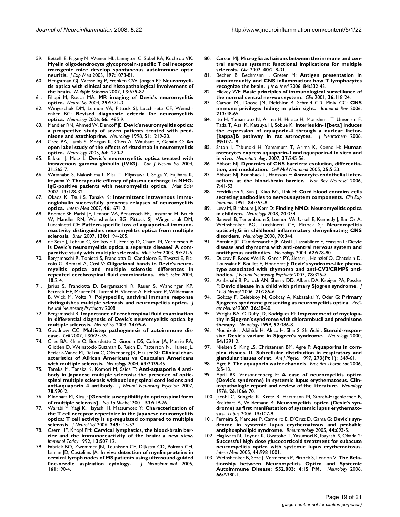- 59. Bettelli E, Pagany M, Weiner HL, Linington C, Sobel RA, Kuchroo VK: **[Myelin oligodendrocyte glycoprotein-specific T cell receptor](http://www.ncbi.nlm.nih.gov/entrez/query.fcgi?cmd=Retrieve&db=PubMed&dopt=Abstract&list_uids=12732654) transgenic mice develop spontaneous autoimmune optic [neuritis.](http://www.ncbi.nlm.nih.gov/entrez/query.fcgi?cmd=Retrieve&db=PubMed&dopt=Abstract&list_uids=12732654)** *J Exp Med* 2003, **197:**1073-81.
- 60. Hengstman GJ, Wesseling P, Frenken CW, Jongen PJ: **[Neuromyeli](http://www.ncbi.nlm.nih.gov/entrez/query.fcgi?cmd=Retrieve&db=PubMed&dopt=Abstract&list_uids=17548452)[tis optica with clinical and histopathological involvement of](http://www.ncbi.nlm.nih.gov/entrez/query.fcgi?cmd=Retrieve&db=PubMed&dopt=Abstract&list_uids=17548452) [the brain.](http://www.ncbi.nlm.nih.gov/entrez/query.fcgi?cmd=Retrieve&db=PubMed&dopt=Abstract&list_uids=17548452)** *Multiple Sclerosis* 2007, **13:**679-82.
- 61. Filippi M, Rocca MA: **[MR imaging of Devic's neuromyelitis](http://www.ncbi.nlm.nih.gov/entrez/query.fcgi?cmd=Retrieve&db=PubMed&dopt=Abstract&list_uids=15727237) [optica.](http://www.ncbi.nlm.nih.gov/entrez/query.fcgi?cmd=Retrieve&db=PubMed&dopt=Abstract&list_uids=15727237)** *Neurol Sci* 2004, **25:**S371-3.
- 62. Wingerchuk DM, Lennon VA, Pittock SJ, Lucchinetti CF, Weinshenker BG: **[Revised diagnostic criteria for neuromyelitis](http://www.ncbi.nlm.nih.gov/entrez/query.fcgi?cmd=Retrieve&db=PubMed&dopt=Abstract&list_uids=16717206) [optica.](http://www.ncbi.nlm.nih.gov/entrez/query.fcgi?cmd=Retrieve&db=PubMed&dopt=Abstract&list_uids=16717206)** *Neurology* 2006, **66:**1485-9.
- 63. Mandler RN, Ahmed W, Dencoff JE: **[Devic's neuromyelitis optica:](http://www.ncbi.nlm.nih.gov/entrez/query.fcgi?cmd=Retrieve&db=PubMed&dopt=Abstract&list_uids=9781568) [a prospective study of seven patients treated with pred](http://www.ncbi.nlm.nih.gov/entrez/query.fcgi?cmd=Retrieve&db=PubMed&dopt=Abstract&list_uids=9781568)[nisone and azathioprine.](http://www.ncbi.nlm.nih.gov/entrez/query.fcgi?cmd=Retrieve&db=PubMed&dopt=Abstract&list_uids=9781568)** *Neurology* 1998, **51:**1219-20.
- 64. Cree BA, Lamb S, Morgan K, Chen A, Waubant E, Genain C: **[An](http://www.ncbi.nlm.nih.gov/entrez/query.fcgi?cmd=Retrieve&db=PubMed&dopt=Abstract&list_uids=15824362) [open label study of the effects of rituximab in neuromyelitis](http://www.ncbi.nlm.nih.gov/entrez/query.fcgi?cmd=Retrieve&db=PubMed&dopt=Abstract&list_uids=15824362) [optica.](http://www.ncbi.nlm.nih.gov/entrez/query.fcgi?cmd=Retrieve&db=PubMed&dopt=Abstract&list_uids=15824362)** *Neurology* 2005, **64:**1270-2.
- 65. Bakker J, Metz L: **[Devic's neuromyelitis optica treated with](http://www.ncbi.nlm.nih.gov/entrez/query.fcgi?cmd=Retrieve&db=PubMed&dopt=Abstract&list_uids=15198456) [intravenous gamma globulin \(IVIG\).](http://www.ncbi.nlm.nih.gov/entrez/query.fcgi?cmd=Retrieve&db=PubMed&dopt=Abstract&list_uids=15198456)** *Can J Neurol Sci* 2004, **31:**265-7.
- 66. Watanabe S, Nakashima I, Misu T, Miyazawa I, Shiga Y, Fujihara K, Itoyama Y: **[Therapeutic efficacy of plasma exchange in NMO-](http://www.ncbi.nlm.nih.gov/entrez/query.fcgi?cmd=Retrieve&db=PubMed&dopt=Abstract&list_uids=17294622)[IgG-positive patients with neuromyelitis optica.](http://www.ncbi.nlm.nih.gov/entrez/query.fcgi?cmd=Retrieve&db=PubMed&dopt=Abstract&list_uids=17294622)** *Mult Scler* 2007, **13:**128-32.
- 67. Okada K, Tsuji S, Tanaka K: **[Intermittent intravenous immu](http://www.ncbi.nlm.nih.gov/entrez/query.fcgi?cmd=Retrieve&db=PubMed&dopt=Abstract&list_uids=17917332)[noglobulin successfully prevents relapses of neuromyelitis](http://www.ncbi.nlm.nih.gov/entrez/query.fcgi?cmd=Retrieve&db=PubMed&dopt=Abstract&list_uids=17917332) [optica.](http://www.ncbi.nlm.nih.gov/entrez/query.fcgi?cmd=Retrieve&db=PubMed&dopt=Abstract&list_uids=17917332)** *Intern Med* 2007, **46:**1671-2.
- 68. Roemer SF, Parisi JE, Lennon VA, Benarroch EE, Lassmann H, Bruck W, Mandler RN, Weinshenker BG, Pittock SJ, Wingerchuk DM, Lucchinetti CF: **[Pattern-specific loss of aquaporin-4 immuno](http://www.ncbi.nlm.nih.gov/entrez/query.fcgi?cmd=Retrieve&db=PubMed&dopt=Abstract&list_uids=17282996)[reactivity distinguishes neuromyelitis optica from multiple](http://www.ncbi.nlm.nih.gov/entrez/query.fcgi?cmd=Retrieve&db=PubMed&dopt=Abstract&list_uids=17282996) [sclerosis.](http://www.ncbi.nlm.nih.gov/entrez/query.fcgi?cmd=Retrieve&db=PubMed&dopt=Abstract&list_uids=17282996)** *Brain* 2007, **130:**1194-205.
- 69. de Seze J, Lebrun C, Stojkovic T, Ferriby D, Chatel M, Vermersch P: **[Is Devic's neuromyelitis optica a separate disease? A com](http://www.ncbi.nlm.nih.gov/entrez/query.fcgi?cmd=Retrieve&db=PubMed&dopt=Abstract&list_uids=14582780)[parative study with multiple sclerosis.](http://www.ncbi.nlm.nih.gov/entrez/query.fcgi?cmd=Retrieve&db=PubMed&dopt=Abstract&list_uids=14582780)** *Mult Scler* 2003, **9:**521-5.
- Bergamaschi R, Tonietti S, Franciotta D, Candeloro E, Tavazzi E, Piccolo G, Romani A, Cosi V: **[Oligoclonal bands in Devic's neuro](http://www.ncbi.nlm.nih.gov/entrez/query.fcgi?cmd=Retrieve&db=PubMed&dopt=Abstract&list_uids=14760945)[myelitis optica and multiple sclerosis: differences in](http://www.ncbi.nlm.nih.gov/entrez/query.fcgi?cmd=Retrieve&db=PubMed&dopt=Abstract&list_uids=14760945) [repeated cerebrospinal fluid examinations.](http://www.ncbi.nlm.nih.gov/entrez/query.fcgi?cmd=Retrieve&db=PubMed&dopt=Abstract&list_uids=14760945)** *Mult Scler* 2004, **10:**2-4.
- 71. Jarius S, Franciotta D, Bergamaschi R, Rauer S, Wandinger KP, Petereit HF, Maurer M, Tumani H, Vincent A, Eichhorn P, Wildemann B, Wick M, Voltz R: **[Polyspecific, antiviral immune response](http://www.ncbi.nlm.nih.gov/entrez/query.fcgi?cmd=Retrieve&db=PubMed&dopt=Abstract&list_uids=18223018) [distinguishes multiple sclerosis and neuromyelitis optica.](http://www.ncbi.nlm.nih.gov/entrez/query.fcgi?cmd=Retrieve&db=PubMed&dopt=Abstract&list_uids=18223018)** *J Neurol Neurosurg Psychiatry* 2008.
- 72. Bergamaschi R: **[Importance of cerebrospinal fluid examination](http://www.ncbi.nlm.nih.gov/entrez/query.fcgi?cmd=Retrieve&db=PubMed&dopt=Abstract&list_uids=14600818) [in differential diagnosis of Devic's neuromyelitis optica by](http://www.ncbi.nlm.nih.gov/entrez/query.fcgi?cmd=Retrieve&db=PubMed&dopt=Abstract&list_uids=14600818) [multiple sclerosis.](http://www.ncbi.nlm.nih.gov/entrez/query.fcgi?cmd=Retrieve&db=PubMed&dopt=Abstract&list_uids=14600818)** *Neurol Sci* 2003, **24:**95-6.
- 73. Goodnow CC: **[Multistep pathogenesis of autoimmune dis](http://www.ncbi.nlm.nih.gov/entrez/query.fcgi?cmd=Retrieve&db=PubMed&dopt=Abstract&list_uids=17632054)[ease.](http://www.ncbi.nlm.nih.gov/entrez/query.fcgi?cmd=Retrieve&db=PubMed&dopt=Abstract&list_uids=17632054)** *Cell* 2007, **130:**25-35.
- 74. Cree BA, Khan O, Bourdette D, Goodin DS, Cohen JA, Marrie RA, Glidden D, Weinstock-Guttman B, Reich D, Patterson N, Haines JL, Pericak-Vance M, DeLoa C, Oksenberg JR, Hauser SL: **[Clinical char](http://www.ncbi.nlm.nih.gov/entrez/query.fcgi?cmd=Retrieve&db=PubMed&dopt=Abstract&list_uids=15596747)[acteristics of African Americans vs Caucasian Americans](http://www.ncbi.nlm.nih.gov/entrez/query.fcgi?cmd=Retrieve&db=PubMed&dopt=Abstract&list_uids=15596747) [with multiple sclerosis.](http://www.ncbi.nlm.nih.gov/entrez/query.fcgi?cmd=Retrieve&db=PubMed&dopt=Abstract&list_uids=15596747)** *Neurology* 2004, **63:**2039-45.
- 75. Tanaka M, Tanaka K, Komori M, Saida T: **[Anti-aquaporin 4 anti](http://www.ncbi.nlm.nih.gov/entrez/query.fcgi?cmd=Retrieve&db=PubMed&dopt=Abstract&list_uids=17702782)[body in Japanese multiple sclerosis: the presence of optic](http://www.ncbi.nlm.nih.gov/entrez/query.fcgi?cmd=Retrieve&db=PubMed&dopt=Abstract&list_uids=17702782)spinal multiple sclerosis without long spinal cord lesions and [anti-aquaporin 4 antibody.](http://www.ncbi.nlm.nih.gov/entrez/query.fcgi?cmd=Retrieve&db=PubMed&dopt=Abstract&list_uids=17702782)** *J Neurol Neurosurg Psychiatr* 2007, **78:**990-2.
- 76. Minohara M, Kira J: **[\[Genetic susceptibility to opticospinal form](http://www.ncbi.nlm.nih.gov/entrez/query.fcgi?cmd=Retrieve&db=PubMed&dopt=Abstract&list_uids=11725501) [of multiple sclerosis\].](http://www.ncbi.nlm.nih.gov/entrez/query.fcgi?cmd=Retrieve&db=PubMed&dopt=Abstract&list_uids=11725501)** *No To Shinkei* 2001, **53:**919-26.
- 77. Warabi Y, Yagi K, Hayashi H, Matsumoto Y: **[Characterization of](http://www.ncbi.nlm.nih.gov/entrez/query.fcgi?cmd=Retrieve&db=PubMed&dopt=Abstract&list_uids=16860825) [the T cell receptor repertoire in the Japanese neuromyelitis](http://www.ncbi.nlm.nih.gov/entrez/query.fcgi?cmd=Retrieve&db=PubMed&dopt=Abstract&list_uids=16860825) optica: T cell activity is up-regulated compared to multiple [sclerosis.](http://www.ncbi.nlm.nih.gov/entrez/query.fcgi?cmd=Retrieve&db=PubMed&dopt=Abstract&list_uids=16860825)** *J Neurol Sci* 2006, **249:**145-52.
- 78. Cserr HF, Knopf PM: **[Cervical lymphatics, the blood-brain bar](http://www.ncbi.nlm.nih.gov/entrez/query.fcgi?cmd=Retrieve&db=PubMed&dopt=Abstract&list_uids=1463583)[rier and the immunoreactivity of the brain: a new view.](http://www.ncbi.nlm.nih.gov/entrez/query.fcgi?cmd=Retrieve&db=PubMed&dopt=Abstract&list_uids=1463583)** *Immunol Today* 1992, **13:**507-12.
- 79. Fabriek BO, Zwemmer JN, Teunissen CE, Dijkstra CD, Polman CH, Laman JD, Castelijns JA: **[In vivo detection of myelin proteins in](http://www.ncbi.nlm.nih.gov/entrez/query.fcgi?cmd=Retrieve&db=PubMed&dopt=Abstract&list_uids=15748959) [cervical lymph nodes of MS patients using ultrasound-guided](http://www.ncbi.nlm.nih.gov/entrez/query.fcgi?cmd=Retrieve&db=PubMed&dopt=Abstract&list_uids=15748959) [fine-needle aspiration cytology.](http://www.ncbi.nlm.nih.gov/entrez/query.fcgi?cmd=Retrieve&db=PubMed&dopt=Abstract&list_uids=15748959)** *J Neuroimmunol* 2005, **161:**190-4.
- 80. Carson MJ: **[Microglia as liaisons between the immune and cen](http://www.ncbi.nlm.nih.gov/entrez/query.fcgi?cmd=Retrieve&db=PubMed&dopt=Abstract&list_uids=12379909)[tral nervous systems: functional implications for multiple](http://www.ncbi.nlm.nih.gov/entrez/query.fcgi?cmd=Retrieve&db=PubMed&dopt=Abstract&list_uids=12379909) [sclerosis.](http://www.ncbi.nlm.nih.gov/entrez/query.fcgi?cmd=Retrieve&db=PubMed&dopt=Abstract&list_uids=12379909)** *Glia* 2002, **40:**218-31.
- 81. Becher B, Bechmann I, Greter M: **[Antigen presentation in](http://www.ncbi.nlm.nih.gov/entrez/query.fcgi?cmd=Retrieve&db=PubMed&dopt=Abstract&list_uids=16773356) [autoimmunity and CNS inflammation: how T lymphocytes](http://www.ncbi.nlm.nih.gov/entrez/query.fcgi?cmd=Retrieve&db=PubMed&dopt=Abstract&list_uids=16773356) [recognize the brain.](http://www.ncbi.nlm.nih.gov/entrez/query.fcgi?cmd=Retrieve&db=PubMed&dopt=Abstract&list_uids=16773356)** *J Mol Med* 2006, **84:**532-43.
- 82. Hickey WF: **[Basic principles of immunological surveillance of](http://www.ncbi.nlm.nih.gov/entrez/query.fcgi?cmd=Retrieve&db=PubMed&dopt=Abstract&list_uids=11596120) [the normal central nervous system.](http://www.ncbi.nlm.nih.gov/entrez/query.fcgi?cmd=Retrieve&db=PubMed&dopt=Abstract&list_uids=11596120)** *Glia* 2001, **36:**118-24.
- 83. Carson MJ, Doose JM, Melchior B, Schmid CD, Ploix CC: **[CNS](http://www.ncbi.nlm.nih.gov/entrez/query.fcgi?cmd=Retrieve&db=PubMed&dopt=Abstract&list_uids=16972896) [immune privilege: hiding in plain sight.](http://www.ncbi.nlm.nih.gov/entrez/query.fcgi?cmd=Retrieve&db=PubMed&dopt=Abstract&list_uids=16972896)** *Immunol Rev* 2006, **213:**48-65.
- 84. Ito H, Yamamoto N, Arima H, Hirate H, Morishima T, Umenishi F, Tada T, Asai K, Katsuya H, Sobue K: **[Interleukin-1\[beta\] induces](http://www.ncbi.nlm.nih.gov/entrez/query.fcgi?cmd=Retrieve&db=PubMed&dopt=Abstract&list_uids=16987239) [the expression of aquaporin-4 through a nuclear factor-](http://www.ncbi.nlm.nih.gov/entrez/query.fcgi?cmd=Retrieve&db=PubMed&dopt=Abstract&list_uids=16987239) [\[kappa\]B pathway in rat astrocytes.](http://www.ncbi.nlm.nih.gov/entrez/query.fcgi?cmd=Retrieve&db=PubMed&dopt=Abstract&list_uids=16987239)** *J Neurochem* 2006, **99:**107-18.
- 85. Satoh J, Tabunoki H, Yamamura T, Arima K, Konno H: **[Human](http://www.ncbi.nlm.nih.gov/entrez/query.fcgi?cmd=Retrieve&db=PubMed&dopt=Abstract&list_uids=17645239) [astrocytes express aquaporin-1 and aquaporin-4 in vitro and](http://www.ncbi.nlm.nih.gov/entrez/query.fcgi?cmd=Retrieve&db=PubMed&dopt=Abstract&list_uids=17645239) [in vivo.](http://www.ncbi.nlm.nih.gov/entrez/query.fcgi?cmd=Retrieve&db=PubMed&dopt=Abstract&list_uids=17645239)** *Neuropathology* 2007, **27:**245-56.
- 86. Abbott NJ: **[Dynamics of CNS barriers: evolution, differentia](http://www.ncbi.nlm.nih.gov/entrez/query.fcgi?cmd=Retrieve&db=PubMed&dopt=Abstract&list_uids=15962506)[tion, and modulation.](http://www.ncbi.nlm.nih.gov/entrez/query.fcgi?cmd=Retrieve&db=PubMed&dopt=Abstract&list_uids=15962506)** *Cell Mol Neurobiol* 2005, **25:**5-23.
- 87. Abbott NJ, Ronnback L, Hansson E: **[Astrocyte-endothelial inter](http://www.ncbi.nlm.nih.gov/entrez/query.fcgi?cmd=Retrieve&db=PubMed&dopt=Abstract&list_uids=16371949)[actions at the blood-brain barrier.](http://www.ncbi.nlm.nih.gov/entrez/query.fcgi?cmd=Retrieve&db=PubMed&dopt=Abstract&list_uids=16371949)** *Nat Rev Neurosci* 2006, **7:**41-53.
- 88. Fredrikson S, Sun J, Xiao BG, Link H: **[Cord blood contains cells](http://www.ncbi.nlm.nih.gov/entrez/query.fcgi?cmd=Retrieve&db=PubMed&dopt=Abstract&list_uids=1709072) [secreting antibodies to nervous system components.](http://www.ncbi.nlm.nih.gov/entrez/query.fcgi?cmd=Retrieve&db=PubMed&dopt=Abstract&list_uids=1709072)** *Clin Exp Immunol* 1991, **84:**353-8.
- 89. Levy M, Birnbaum J, Kerr D: **[Finding NMO: Neuromyelitis optica](http://www.ncbi.nlm.nih.gov/entrez/query.fcgi?cmd=Retrieve&db=PubMed&dopt=Abstract&list_uids=18227415) [in children.](http://www.ncbi.nlm.nih.gov/entrez/query.fcgi?cmd=Retrieve&db=PubMed&dopt=Abstract&list_uids=18227415)** *Neurology* 2008, **70:**334.
- 90. Banwell B, Tenembaum S, Lennon VA, Ursell E, Kennedy J, Bar-Or A, Weinshenker BG, Lucchinetti CF, Pittock SJ: **[Neuromyelitis](http://www.ncbi.nlm.nih.gov/entrez/query.fcgi?cmd=Retrieve&db=PubMed&dopt=Abstract&list_uids=18094334) [optica-IgG in childhood inflammatory demyelinating CNS](http://www.ncbi.nlm.nih.gov/entrez/query.fcgi?cmd=Retrieve&db=PubMed&dopt=Abstract&list_uids=18094334) [disorders.](http://www.ncbi.nlm.nih.gov/entrez/query.fcgi?cmd=Retrieve&db=PubMed&dopt=Abstract&list_uids=18094334)** *Neurology* 2008, **70:**344.
- 91. Antoine JC, Camdessanche JP, Absi L, Lassabliere F, Feasson L: **[Devic](http://www.ncbi.nlm.nih.gov/entrez/query.fcgi?cmd=Retrieve&db=PubMed&dopt=Abstract&list_uids=15037705) [disease and thymoma with anti-central nervous system and](http://www.ncbi.nlm.nih.gov/entrez/query.fcgi?cmd=Retrieve&db=PubMed&dopt=Abstract&list_uids=15037705) [antithymus antibodies.](http://www.ncbi.nlm.nih.gov/entrez/query.fcgi?cmd=Retrieve&db=PubMed&dopt=Abstract&list_uids=15037705)** *Neurology* 2004, **62:**978-80.
- 92. Ducray F, Roos-Weil R, Garcia PY, Slesari J, Heinzlef O, Chatelain D, Toussaint P, Roullet E, Honnorat J: **[Devic's syndrome-like pheno](http://www.ncbi.nlm.nih.gov/entrez/query.fcgi?cmd=Retrieve&db=PubMed&dopt=Abstract&list_uids=17308295)[type associated with thymoma and anti-CV2/CRMP5 anti](http://www.ncbi.nlm.nih.gov/entrez/query.fcgi?cmd=Retrieve&db=PubMed&dopt=Abstract&list_uids=17308295)[bodies.](http://www.ncbi.nlm.nih.gov/entrez/query.fcgi?cmd=Retrieve&db=PubMed&dopt=Abstract&list_uids=17308295)** *J Neurol Neurosurg Psychiatr* 2007, **78:**325-7.
- 93. Arabshahi B, Pollock AN, Sherry DD, Albert DA, Kreiger PA, Pessler F: **[Devic disease in a child with primary Sjogren syndrome.](http://www.ncbi.nlm.nih.gov/entrez/query.fcgi?cmd=Retrieve&db=PubMed&dopt=Abstract&list_uids=16900921)** *J Child Neurol* 2006, **21:**285-6.
- 94. Gokcay F, Celebisoy N, Gokcay A, Kabasakal Y, Oder G: **[Primary](http://www.ncbi.nlm.nih.gov/entrez/query.fcgi?cmd=Retrieve&db=PubMed&dopt=Abstract&list_uids=17162200) [Sjogrens syndrome presenting as neuromyelitis optica.](http://www.ncbi.nlm.nih.gov/entrez/query.fcgi?cmd=Retrieve&db=PubMed&dopt=Abstract&list_uids=17162200)** *Pediatr Neurol* 2007, **36:**58-60.
- 95. Wright RA, O'Duffy JD, Rodriguez M: **[Improvement of myelopa](http://www.ncbi.nlm.nih.gov/entrez/query.fcgi?cmd=Retrieve&db=PubMed&dopt=Abstract&list_uids=9932962)[thy in Sjogren's syndrome with chlorambucil and prednisone](http://www.ncbi.nlm.nih.gov/entrez/query.fcgi?cmd=Retrieve&db=PubMed&dopt=Abstract&list_uids=9932962) [therapy.](http://www.ncbi.nlm.nih.gov/entrez/query.fcgi?cmd=Retrieve&db=PubMed&dopt=Abstract&list_uids=9932962)** *Neurology* 1999, **52:**386-8.
- Mochizuki , Akihide H, Akito H, Shin S, Shin'ichi : **[Steroid-respon](http://www.ncbi.nlm.nih.gov/entrez/query.fcgi?cmd=Retrieve&db=PubMed&dopt=Abstract&list_uids=10746622)[sive Devic's variant in Sjogren's syndrome.](http://www.ncbi.nlm.nih.gov/entrez/query.fcgi?cmd=Retrieve&db=PubMed&dopt=Abstract&list_uids=10746622)** *Neurology* 2000, **54:**1391-2.
- 97. Nielsen S, King LS, Christensen BM, Agre P: **Aquaporins in complex tissues. II. Subcellular distribution in respiratory and glandular tissues of rat.** *Am J Physiol* 1997, **273(Pt 1):**1549-61.
- 98. Agre P: **[The aquaporin water channels.](http://www.ncbi.nlm.nih.gov/entrez/query.fcgi?cmd=Retrieve&db=PubMed&dopt=Abstract&list_uids=16493146)** *Proc Am Thorac Soc* 2006, **3:**5-13.
- 99. April RS, Vansonnenberg E: **[A case of neuromyelitis optica](http://www.ncbi.nlm.nih.gov/entrez/query.fcgi?cmd=Retrieve&db=PubMed&dopt=Abstract&list_uids=988514) [\(Devic's syndrome\) in systemic lupus erythematosus. Clin](http://www.ncbi.nlm.nih.gov/entrez/query.fcgi?cmd=Retrieve&db=PubMed&dopt=Abstract&list_uids=988514)[icopathologic report and review of the literature.](http://www.ncbi.nlm.nih.gov/entrez/query.fcgi?cmd=Retrieve&db=PubMed&dopt=Abstract&list_uids=988514)** *Neurology* 1976, **26:**1066-70.
- 100. Jacobi C, Stingele K, Kretz R, Hartmann M, Storch-Hagenlocher B, Breitbart A, Wildemann B: **[Neuromyelitis optica \(Devic's syn](http://www.ncbi.nlm.nih.gov/entrez/query.fcgi?cmd=Retrieve&db=PubMed&dopt=Abstract&list_uids=16539283)[drome\) as first manifestation of systemic lupus erythemato](http://www.ncbi.nlm.nih.gov/entrez/query.fcgi?cmd=Retrieve&db=PubMed&dopt=Abstract&list_uids=16539283)[sus.](http://www.ncbi.nlm.nih.gov/entrez/query.fcgi?cmd=Retrieve&db=PubMed&dopt=Abstract&list_uids=16539283)** *Lupus* 2006, **15:**107-9.
- 101. Ferreira S, Marques P, Carneiro E, D'Cruz D, Gama G: **[Devic's syn](http://www.ncbi.nlm.nih.gov/entrez/query.fcgi?cmd=Retrieve&db=PubMed&dopt=Abstract&list_uids=15695293)[drome in systemic lupus erythematosus and probable](http://www.ncbi.nlm.nih.gov/entrez/query.fcgi?cmd=Retrieve&db=PubMed&dopt=Abstract&list_uids=15695293) [antiphospholipid syndrome.](http://www.ncbi.nlm.nih.gov/entrez/query.fcgi?cmd=Retrieve&db=PubMed&dopt=Abstract&list_uids=15695293)** *Rheumatology* 2005, **44:**693-5.
- 102. Hagiwara N, Toyoda K, Uwatoko T, Yasumori K, Ibayashi S, Okada Y: **[Successful high dose glucocorticoid treatment for subacute](http://www.ncbi.nlm.nih.gov/entrez/query.fcgi?cmd=Retrieve&db=PubMed&dopt=Abstract&list_uids=16258221) neuromyelitis optica with systemic lupus erythematosus.** *Intern Med* 2005, **44:**998-1001.
- 103. Weinshenker B, Seze J, Vermersch P, Pittock S, Lennon V: **The Relationship between Neuromyelitis Optica and Systemic Autoimmune Disease: S52.003: 4:15 PM.** *Neurology* 2006, **66:**A380-1.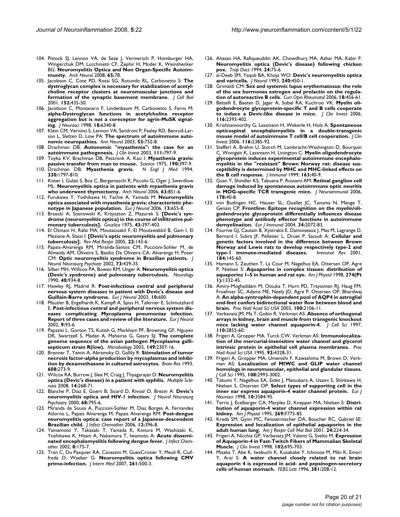- 104. Pittock SJ, Lennon VA, de Seze J, Vermersch P, Homburger HA, Wingerchuk DM, Lucchinetti CF, Zephir H, Moder K, Weinshenker BG: **[Neuromyelitis Optica and Non Organ-Specific Autoim](http://www.ncbi.nlm.nih.gov/entrez/query.fcgi?cmd=Retrieve&db=PubMed&dopt=Abstract&list_uids=18195142)[munity.](http://www.ncbi.nlm.nih.gov/entrez/query.fcgi?cmd=Retrieve&db=PubMed&dopt=Abstract&list_uids=18195142)** *Arch Neurol* 2008, **65:**78.
- 105. Jacobson C, Cote PD, Rossi SG, Rotundo RL, Carbonetto S: **[The](http://www.ncbi.nlm.nih.gov/entrez/query.fcgi?cmd=Retrieve&db=PubMed&dopt=Abstract&list_uids=11157973) [dystroglycan complex is necessary for stabilization of acetyl](http://www.ncbi.nlm.nih.gov/entrez/query.fcgi?cmd=Retrieve&db=PubMed&dopt=Abstract&list_uids=11157973)choline receptor clusters at neuromuscular junctions and [formation of the synaptic basement membrane.](http://www.ncbi.nlm.nih.gov/entrez/query.fcgi?cmd=Retrieve&db=PubMed&dopt=Abstract&list_uids=11157973)** *J Cell Biol* 2001, **152:**435-50.
- 106. Jacobson C, Montanaro F, Lindenbaum M, Carbonetto S, Ferns M: **[alpha-Dystroglycan functions in acetylcholine receptor](http://www.ncbi.nlm.nih.gov/entrez/query.fcgi?cmd=Retrieve&db=PubMed&dopt=Abstract&list_uids=9698325) aggregation but is not a coreceptor for agrin-MuSK signal[ing.](http://www.ncbi.nlm.nih.gov/entrez/query.fcgi?cmd=Retrieve&db=PubMed&dopt=Abstract&list_uids=9698325)** *J Neurosci* 1998, **18:**6340-8.
- 107. Klein CM, Vernino S, Lennon VA, Sandroni P, Fealey RD, Benrud-Larson L, Sletten D, Low PA: **[The spectrum of autoimmune auto](http://www.ncbi.nlm.nih.gov/entrez/query.fcgi?cmd=Retrieve&db=PubMed&dopt=Abstract&list_uids=12783421)[nomic neuropathies.](http://www.ncbi.nlm.nih.gov/entrez/query.fcgi?cmd=Retrieve&db=PubMed&dopt=Abstract&list_uids=12783421)** *Ann Neurol* 2003, **53:**752-8.
- 108. Drachman DB: **[Autonomic "myasthenia": the case for an](http://www.ncbi.nlm.nih.gov/entrez/query.fcgi?cmd=Retrieve&db=PubMed&dopt=Abstract&list_uids=12639983) [autoimmune pathogenesis.](http://www.ncbi.nlm.nih.gov/entrez/query.fcgi?cmd=Retrieve&db=PubMed&dopt=Abstract&list_uids=12639983)** *J Clin Invest* 2003, **111:**797-9.
- 109. Toyka KV, Brachman DB, Pestronk A, Kao I: **[Myasthenia gravis:](http://www.ncbi.nlm.nih.gov/entrez/query.fcgi?cmd=Retrieve&db=PubMed&dopt=Abstract&list_uids=1179220) [passive transfer from man to mouse.](http://www.ncbi.nlm.nih.gov/entrez/query.fcgi?cmd=Retrieve&db=PubMed&dopt=Abstract&list_uids=1179220)** *Science* 1975, **190:**397-9.
- 110. Drachman DB: **[Myasthenia gravis.](http://www.ncbi.nlm.nih.gov/entrez/query.fcgi?cmd=Retrieve&db=PubMed&dopt=Abstract&list_uids=8190158)** *N Engl J Med* 1994, **330:**1797-810.
- 111. Kister I, Gulati S, Boz C, Bergamaschi R, Piccolo G, Oger J, Swerdlow ML: **[Neuromyelitis optica in patients with myasthenia gravis](http://www.ncbi.nlm.nih.gov/entrez/query.fcgi?cmd=Retrieve&db=PubMed&dopt=Abstract&list_uids=16769866) [who underwent thymectomy.](http://www.ncbi.nlm.nih.gov/entrez/query.fcgi?cmd=Retrieve&db=PubMed&dopt=Abstract&list_uids=16769866)** *Arch Neurol* 2006, **63:**851-6.
- 112. Furukawa Y, Yoshikawa H, Yachie A, Yamada M: **[Neuromyelitis](http://www.ncbi.nlm.nih.gov/entrez/query.fcgi?cmd=Retrieve&db=PubMed&dopt=Abstract&list_uids=16796591) [optica associated with myasthenia gravis: characteristic phe](http://www.ncbi.nlm.nih.gov/entrez/query.fcgi?cmd=Retrieve&db=PubMed&dopt=Abstract&list_uids=16796591)[notype in Japanese population.](http://www.ncbi.nlm.nih.gov/entrez/query.fcgi?cmd=Retrieve&db=PubMed&dopt=Abstract&list_uids=16796591)** *Eur J Neurol* 2006, **13:**655-8.
- 113. Brzecki A, Sosnowski K, Krzyszton Z, Mazurek S: **[\[Devic's syn](http://www.ncbi.nlm.nih.gov/entrez/query.fcgi?cmd=Retrieve&db=PubMed&dopt=Abstract&list_uids=1123170)[drome \(neuromyelitis optica\) in the course of infiltrative pul](http://www.ncbi.nlm.nih.gov/entrez/query.fcgi?cmd=Retrieve&db=PubMed&dopt=Abstract&list_uids=1123170)[monary tuberculosis\].](http://www.ncbi.nlm.nih.gov/entrez/query.fcgi?cmd=Retrieve&db=PubMed&dopt=Abstract&list_uids=1123170)** *Gruzlica* 1975, **43:**397-403.
- 114. El Otmani H, Rafai MA, Moutaouakil F, El Moutawakkil B, Gam I, El Meziane A, Slassi I: **[\[Devic's optic neuromyelitis and pulmonary](http://www.ncbi.nlm.nih.gov/entrez/query.fcgi?cmd=Retrieve&db=PubMed&dopt=Abstract&list_uids=15968767) [tuberculosis\].](http://www.ncbi.nlm.nih.gov/entrez/query.fcgi?cmd=Retrieve&db=PubMed&dopt=Abstract&list_uids=15968767)** *Rev Mal Respir* 2005, **22:**143-6.
- 115. Papais-Alvarenga RM, Miranda-Santos CM, Puccioni-Sohler M, de Almeida AM, Oliveira S, Basilio De Oliveira CA, Alvarenga H, Poser CM: **[Optic neuromyelitis syndrome in Brazilian patients.](http://www.ncbi.nlm.nih.gov/entrez/query.fcgi?cmd=Retrieve&db=PubMed&dopt=Abstract&list_uids=12235313)** *J Neurol Neurosurg Psychiatr* 2002, **73:**429-35.
- 116. Silber MH, Willcox PA, Bowen RM, Unger A: **[Neuromyelitis optica](http://www.ncbi.nlm.nih.gov/entrez/query.fcgi?cmd=Retrieve&db=PubMed&dopt=Abstract&list_uids=2345617) [\(Devic's syndrome\) and pulmonary tuberculosis.](http://www.ncbi.nlm.nih.gov/entrez/query.fcgi?cmd=Retrieve&db=PubMed&dopt=Abstract&list_uids=2345617)** *Neurology* 1990, **40:**934-8.
- 117. Hawley RJ, Madrid R: **[Post-infectious central and peripheral](http://www.ncbi.nlm.nih.gov/entrez/query.fcgi?cmd=Retrieve&db=PubMed&dopt=Abstract&list_uids=12940848) [nervous system diseases in patient with Devic's disease and](http://www.ncbi.nlm.nih.gov/entrez/query.fcgi?cmd=Retrieve&db=PubMed&dopt=Abstract&list_uids=12940848) [Guillain-Barre syndrome.](http://www.ncbi.nlm.nih.gov/entrez/query.fcgi?cmd=Retrieve&db=PubMed&dopt=Abstract&list_uids=12940848)** *Eur J Neurol* 2003, **10:**600.
- 118. Pfausler B, Engelhardt K, Kampfl A, Spiss H, Taferner E, Schmutzhard E: **[Post-infectious central and peripheral nervous system dis](http://www.ncbi.nlm.nih.gov/entrez/query.fcgi?cmd=Retrieve&db=PubMed&dopt=Abstract&list_uids=11784383)[eases complicating Mycoplasma pneumoniae infection.](http://www.ncbi.nlm.nih.gov/entrez/query.fcgi?cmd=Retrieve&db=PubMed&dopt=Abstract&list_uids=11784383) [Report of three cases and review of the literature.](http://www.ncbi.nlm.nih.gov/entrez/query.fcgi?cmd=Retrieve&db=PubMed&dopt=Abstract&list_uids=11784383)** *Eur J Neurol* 2002, **9:**93-6.
- 119. Papazisi L, Gorton TS, Kutish G, Markham PF, Browning GF, Nguyen DK, Swartzell S, Madan A, Mahairas G, Geary SJ: **[The complete](http://www.ncbi.nlm.nih.gov/entrez/query.fcgi?cmd=Retrieve&db=PubMed&dopt=Abstract&list_uids=12949158) [genome sequence of the avian pathogen Mycoplasma galli](http://www.ncbi.nlm.nih.gov/entrez/query.fcgi?cmd=Retrieve&db=PubMed&dopt=Abstract&list_uids=12949158)[septicum strain R\(low\).](http://www.ncbi.nlm.nih.gov/entrez/query.fcgi?cmd=Retrieve&db=PubMed&dopt=Abstract&list_uids=12949158)** *Microbiology* 2003, **149:**2307-16.
- 120. Brenner T, Yamin A, Abramsky O, Gallily R: **[Stimulation of tumor](http://www.ncbi.nlm.nih.gov/entrez/query.fcgi?cmd=Retrieve&db=PubMed&dopt=Abstract&list_uids=8495362) [necrosis factor-alpha production by mycoplasmas and inhibi](http://www.ncbi.nlm.nih.gov/entrez/query.fcgi?cmd=Retrieve&db=PubMed&dopt=Abstract&list_uids=8495362)[tion by dexamethasone in cultured astrocytes.](http://www.ncbi.nlm.nih.gov/entrez/query.fcgi?cmd=Retrieve&db=PubMed&dopt=Abstract&list_uids=8495362)** *Brain Res* 1993, **608:**273-9.
- 121. Wilcox RA, Burrow J, Slee M, Craig J, Thyagarajan D: **[Neuromyelitis](http://www.ncbi.nlm.nih.gov/entrez/query.fcgi?cmd=Retrieve&db=PubMed&dopt=Abstract&list_uids=17986508) [optica \(Devic's disease\) in a patient with syphilis.](http://www.ncbi.nlm.nih.gov/entrez/query.fcgi?cmd=Retrieve&db=PubMed&dopt=Abstract&list_uids=17986508)** *Multiple Sclerosis* 2008, **14:**268-71.
- 122. Blanche P, Diaz E, Goert B, Sicard D, Rivoal O, Brezin A: **[Devic's](http://www.ncbi.nlm.nih.gov/entrez/query.fcgi?cmd=Retrieve&db=PubMed&dopt=Abstract&list_uids=10877625) [neuromyelitis optica and HIV-1 infection.](http://www.ncbi.nlm.nih.gov/entrez/query.fcgi?cmd=Retrieve&db=PubMed&dopt=Abstract&list_uids=10877625)** *J Neurol Neurosurg Psychiatry* 2000, **68:**795-6.
- 123. Miranda de Sousa A, Puccioni-Sohler M, Dias Borges A, Fernandes Adorno L, Papais Alvarenga M, Papais Alvarenga RM: **[Post-dengue](http://www.ncbi.nlm.nih.gov/entrez/query.fcgi?cmd=Retrieve&db=PubMed&dopt=Abstract&list_uids=17235647) [neuromyelitis optica: case report of a Japanese-descendent](http://www.ncbi.nlm.nih.gov/entrez/query.fcgi?cmd=Retrieve&db=PubMed&dopt=Abstract&list_uids=17235647) [Brazilian child.](http://www.ncbi.nlm.nih.gov/entrez/query.fcgi?cmd=Retrieve&db=PubMed&dopt=Abstract&list_uids=17235647)** *J Infect Chemother* 2006, **12:**396-8.
- 124. Yamamoto Y, Takasaki T, Yamada K, Kimura M, Washizaki K, Yoshikawa K, Hitani A, Nakamura T, Iwamoto A: **[Acute dissemi](http://www.ncbi.nlm.nih.gov/entrez/query.fcgi?cmd=Retrieve&db=PubMed&dopt=Abstract&list_uids=12111572)[nated encephalomyelitis following dengue fever.](http://www.ncbi.nlm.nih.gov/entrez/query.fcgi?cmd=Retrieve&db=PubMed&dopt=Abstract&list_uids=12111572)** *J Infect Chemother* 2002, **8:**175-7.
- 125. Tran C, Du Pasquier RA, Cavassini M, GuexCrosier Y, Meuli R, Ciuffreda D, Waeber G: **[Neuromyelitis optica following CMV](http://www.ncbi.nlm.nih.gov/entrez/query.fcgi?cmd=Retrieve&db=PubMed&dopt=Abstract&list_uids=17444889) [primo-infection.](http://www.ncbi.nlm.nih.gov/entrez/query.fcgi?cmd=Retrieve&db=PubMed&dopt=Abstract&list_uids=17444889)** *J Intern Med* 2007, **261:**500-3.
- 126. Ahasan HA, Rafiqueuddin AK, Chowdhury MA, Azhar MA, Kabir F: **[Neuromyelitis optica \(Devic's disease\) following chicken](http://www.ncbi.nlm.nih.gov/entrez/query.fcgi?cmd=Retrieve&db=PubMed&dopt=Abstract&list_uids=8009621) [pox.](http://www.ncbi.nlm.nih.gov/entrez/query.fcgi?cmd=Retrieve&db=PubMed&dopt=Abstract&list_uids=8009621)** *Trop Doct* 1994, **24:**75-6.
- 127. al-Deeb SM, Yaqub BA, Khoja WO: **[Devic's neuromyelitis optica](http://www.ncbi.nlm.nih.gov/entrez/query.fcgi?cmd=Retrieve&db=PubMed&dopt=Abstract&list_uids=8410090) [and varicella.](http://www.ncbi.nlm.nih.gov/entrez/query.fcgi?cmd=Retrieve&db=PubMed&dopt=Abstract&list_uids=8410090)** *J Neurol* 1993, **240:**450-1.
- 128. Grimaldi CM: **[Sex and systemic lupus erythematosus: the role](http://www.ncbi.nlm.nih.gov/entrez/query.fcgi?cmd=Retrieve&db=PubMed&dopt=Abstract&list_uids=16896282) [of the sex hormones estrogen and prolactin on the regula](http://www.ncbi.nlm.nih.gov/entrez/query.fcgi?cmd=Retrieve&db=PubMed&dopt=Abstract&list_uids=16896282)[tion of autoreactive B cells.](http://www.ncbi.nlm.nih.gov/entrez/query.fcgi?cmd=Retrieve&db=PubMed&dopt=Abstract&list_uids=16896282)** *Curr Opin Rheumatol* 2006, **18:**456-61.
- 129. Bettelli E, Baeten D, Jager A, Sobel RA, Kuchroo VK: **[Myelin oli](http://www.ncbi.nlm.nih.gov/entrez/query.fcgi?cmd=Retrieve&db=PubMed&dopt=Abstract&list_uids=16955141)[godendrocyte glycoprotein-specific T and B cells cooperate](http://www.ncbi.nlm.nih.gov/entrez/query.fcgi?cmd=Retrieve&db=PubMed&dopt=Abstract&list_uids=16955141) [to induce a Devic-like disease in mice.](http://www.ncbi.nlm.nih.gov/entrez/query.fcgi?cmd=Retrieve&db=PubMed&dopt=Abstract&list_uids=16955141)** *J Clin Invest* 2006, **116:**2393-402.
- 130. Krishnamoorthy G, Lassmann H, Wekerle H, Holz A: **[Spontaneous](http://www.ncbi.nlm.nih.gov/entrez/query.fcgi?cmd=Retrieve&db=PubMed&dopt=Abstract&list_uids=16955140) [opticospinal encephalomyelitis in a double-transgenic](http://www.ncbi.nlm.nih.gov/entrez/query.fcgi?cmd=Retrieve&db=PubMed&dopt=Abstract&list_uids=16955140) [mouse model of autoimmune T cell/B cell cooperation.](http://www.ncbi.nlm.nih.gov/entrez/query.fcgi?cmd=Retrieve&db=PubMed&dopt=Abstract&list_uids=16955140)** *J Clin Invest* 2006, **116:**2385-92.
- 131. Stefferl A, Brehm U, Storch M, Lambracht-Washington D, Bourquin C, Wonigeit K, Lassmann H, Linington C: **[Myelin oligodendrocyte](http://www.ncbi.nlm.nih.gov/entrez/query.fcgi?cmd=Retrieve&db=PubMed&dopt=Abstract&list_uids=10384097) [glycoprotein induces experimental autoimmune encephalo](http://www.ncbi.nlm.nih.gov/entrez/query.fcgi?cmd=Retrieve&db=PubMed&dopt=Abstract&list_uids=10384097)myelitis in the "resistant" Brown Norway rat: disease susceptibility is determined by MHC and MHC-linked effects on [the B cell response.](http://www.ncbi.nlm.nih.gov/entrez/query.fcgi?cmd=Retrieve&db=PubMed&dopt=Abstract&list_uids=10384097)** *J Immunol* 1999, **163:**40-9.
- 132. Guan Y, Shindler KS, Tabuena P, Rostami AM: **[Retinal ganglion cell](http://www.ncbi.nlm.nih.gov/entrez/query.fcgi?cmd=Retrieve&db=PubMed&dopt=Abstract&list_uids=16828169) [damage induced by spontaneous autoimmune optic neuritis](http://www.ncbi.nlm.nih.gov/entrez/query.fcgi?cmd=Retrieve&db=PubMed&dopt=Abstract&list_uids=16828169) [in MOG-specific TCR transgenic mice.](http://www.ncbi.nlm.nih.gov/entrez/query.fcgi?cmd=Retrieve&db=PubMed&dopt=Abstract&list_uids=16828169)** *J Neuroimmunol* 2006, **178:**40-8.
- 133. von Budingen HC, Hauser SL, Ouallet JC, Tanuma N, Menge T, Genain CP: **[Frontline: Epitope recognition on the myelin/oli](http://www.ncbi.nlm.nih.gov/entrez/query.fcgi?cmd=Retrieve&db=PubMed&dopt=Abstract&list_uids=15259004)[godendrocyte glycoprotein differentially influences disease](http://www.ncbi.nlm.nih.gov/entrez/query.fcgi?cmd=Retrieve&db=PubMed&dopt=Abstract&list_uids=15259004) phenotype and antibody effector functions in autoimmune [demyelination.](http://www.ncbi.nlm.nih.gov/entrez/query.fcgi?cmd=Retrieve&db=PubMed&dopt=Abstract&list_uids=15259004)** *Eur J Immunol* 2004, **34:**2072-83.
- 134. Fournie GJ, Cautain B, Xystrakis E, Damoiseaux J, Mas M, Lagrange D, Bernard I, Subra JF, Pelletier L, Druet P, Saoudi A: **[Cellular and](http://www.ncbi.nlm.nih.gov/entrez/query.fcgi?cmd=Retrieve&db=PubMed&dopt=Abstract&list_uids=12086309) [genetic factors involved in the difference between Brown](http://www.ncbi.nlm.nih.gov/entrez/query.fcgi?cmd=Retrieve&db=PubMed&dopt=Abstract&list_uids=12086309) Norway and Lewis rats to develop respectively type-2 and [type-1 immune-mediated diseases.](http://www.ncbi.nlm.nih.gov/entrez/query.fcgi?cmd=Retrieve&db=PubMed&dopt=Abstract&list_uids=12086309)** *Immunol Rev* 2001, **184:**145-60.
- 135. Hamann S, Zeuthen T, La Cour M, Nagelhus EA, Ottersen OP, Agre P, Nielsen S: **Aquaporins in complex tissues: distribution of aquaporins 1–5 in human and rat eye.** *Am J Physiol* 1998, **274(Pt 1):**1332-45.
- 136. Amiry-Moghaddam M, Otsuka T, Hurn PD, Traystman RJ, Haug FM, Froehner SC, Adams ME, Neely JD, Agre P, Ottersen OP, Bhardwaj A: **[An alpha-syntrophin-dependent pool of AQP4 in astroglial](http://www.ncbi.nlm.nih.gov/entrez/query.fcgi?cmd=Retrieve&db=PubMed&dopt=Abstract&list_uids=12578959) [end-feet confers bidirectional water flow between blood and](http://www.ncbi.nlm.nih.gov/entrez/query.fcgi?cmd=Retrieve&db=PubMed&dopt=Abstract&list_uids=12578959) [brain.](http://www.ncbi.nlm.nih.gov/entrez/query.fcgi?cmd=Retrieve&db=PubMed&dopt=Abstract&list_uids=12578959)** *Proc Natl Acad Sci USA* 2003, **100:**2106-11.
- 137. Verbavatz JM, Ma T, Gobin R, Verkman AS: **[Absence of orthogonal](http://www.ncbi.nlm.nih.gov/entrez/query.fcgi?cmd=Retrieve&db=PubMed&dopt=Abstract&list_uids=9427293) [arrays in kidney, brain and muscle from transgenic knockout](http://www.ncbi.nlm.nih.gov/entrez/query.fcgi?cmd=Retrieve&db=PubMed&dopt=Abstract&list_uids=9427293) [mice lacking water channel aquaporin-4.](http://www.ncbi.nlm.nih.gov/entrez/query.fcgi?cmd=Retrieve&db=PubMed&dopt=Abstract&list_uids=9427293)** *J Cell Sci* 1997, **110:**2855-60.
- 138. Frigeri A, Gropper MA, Turck CW, Verkman AS: **[Immunolocaliza](http://www.ncbi.nlm.nih.gov/entrez/query.fcgi?cmd=Retrieve&db=PubMed&dopt=Abstract&list_uids=7538665)[tion of the mercurial-insensitive water channel and glycerol](http://www.ncbi.nlm.nih.gov/entrez/query.fcgi?cmd=Retrieve&db=PubMed&dopt=Abstract&list_uids=7538665) [intrinsic protein in epithelial cell plasma membranes.](http://www.ncbi.nlm.nih.gov/entrez/query.fcgi?cmd=Retrieve&db=PubMed&dopt=Abstract&list_uids=7538665)** *Proc Natl Acad Sci USA* 1995, **92:**4328-31.
- 139. Frigeri A, Gropper MA, Umenishi F, Kawashima M, Brown D, Verkman AS: **[Localization of MIWC and GLIP water channel](http://www.ncbi.nlm.nih.gov/entrez/query.fcgi?cmd=Retrieve&db=PubMed&dopt=Abstract&list_uids=8537439) [homologs in neuromuscular, epithelial and glandular tissues.](http://www.ncbi.nlm.nih.gov/entrez/query.fcgi?cmd=Retrieve&db=PubMed&dopt=Abstract&list_uids=8537439)** *J Cell Sci* 1995, **108:**2993-3002.
- 140. Takumi Y, Nagelhus EA, Eidet J, Matsubara A, Usami S, Shinkawa H, Nielsen S, Ottersen OP: **[Select types of supporting cell in the](http://www.ncbi.nlm.nih.gov/entrez/query.fcgi?cmd=Retrieve&db=PubMed&dopt=Abstract&list_uids=9875338) [inner ear express aquaporin-4 water channel protein.](http://www.ncbi.nlm.nih.gov/entrez/query.fcgi?cmd=Retrieve&db=PubMed&dopt=Abstract&list_uids=9875338)** *Eur J Neurosci* 1998, **10:**3584-95.
- 141. Terris J, Ecelbarger CA, Marples D, Knepper MA, Nielsen S: [Distri](http://www.ncbi.nlm.nih.gov/entrez/query.fcgi?cmd=Retrieve&db=PubMed&dopt=Abstract&list_uids=8594871)**[bution of aquaporin-4 water channel expression within rat](http://www.ncbi.nlm.nih.gov/entrez/query.fcgi?cmd=Retrieve&db=PubMed&dopt=Abstract&list_uids=8594871) [kidney.](http://www.ncbi.nlm.nih.gov/entrez/query.fcgi?cmd=Retrieve&db=PubMed&dopt=Abstract&list_uids=8594871)** *Am J Physiol* 1995, **269:**F775-85.
- 142. Kreda SM, Gynn MC, Fenstermacher DA, Boucher RC, Gabriel SE: **[Expression and localization of epithelial aquaporins in the](http://www.ncbi.nlm.nih.gov/entrez/query.fcgi?cmd=Retrieve&db=PubMed&dopt=Abstract&list_uids=11245621) [adult human lung.](http://www.ncbi.nlm.nih.gov/entrez/query.fcgi?cmd=Retrieve&db=PubMed&dopt=Abstract&list_uids=11245621)** *Am J Respir Cell Mol Biol* 2001, **24:**224-34.
- 143. Frigeri A, Nicchia GP, Verbavatz JM, Valenti G, Svelto M: **[Expression](http://www.ncbi.nlm.nih.gov/entrez/query.fcgi?cmd=Retrieve&db=PubMed&dopt=Abstract&list_uids=9710437) [of Aquaporin-4 in Fast-Twitch Fibers of Mammalian Skeletal](http://www.ncbi.nlm.nih.gov/entrez/query.fcgi?cmd=Retrieve&db=PubMed&dopt=Abstract&list_uids=9710437) [Muscle.](http://www.ncbi.nlm.nih.gov/entrez/query.fcgi?cmd=Retrieve&db=PubMed&dopt=Abstract&list_uids=9710437)** *J Clin Invest* 1998, **102:**695-703.
- 144. Misaka T, Abe K, Iwabuchi K, Kusakabe Y, Ichinose M, Miki K, Emori Y, Arai S: **[A water channel closely related to rat brain](http://www.ncbi.nlm.nih.gov/entrez/query.fcgi?cmd=Retrieve&db=PubMed&dopt=Abstract&list_uids=8601457) [aquaporin 4 is expressed in acid- and pepsinogen-secretory](http://www.ncbi.nlm.nih.gov/entrez/query.fcgi?cmd=Retrieve&db=PubMed&dopt=Abstract&list_uids=8601457) [cells of human stomach.](http://www.ncbi.nlm.nih.gov/entrez/query.fcgi?cmd=Retrieve&db=PubMed&dopt=Abstract&list_uids=8601457)** *FEBS Lett* 1996, **381:**208-12.